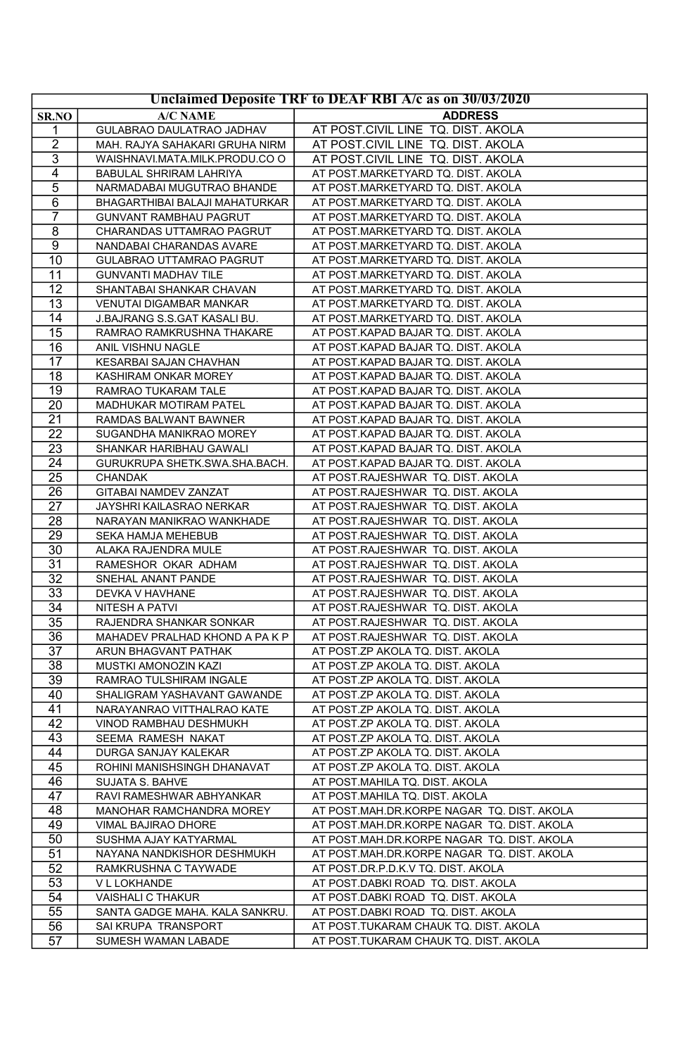| Unclaimed Deposite TRF to DEAF RBI A/c as on 30/03/2020 |                                       |                                                                        |
|---------------------------------------------------------|---------------------------------------|------------------------------------------------------------------------|
| SR.NO                                                   | <b>A/C NAME</b>                       | <b>ADDRESS</b>                                                         |
| 1                                                       | GULABRAO DAULATRAO JADHAV             | AT POST.CIVIL LINE TQ. DIST. AKOLA                                     |
| $\overline{2}$                                          | MAH. RAJYA SAHAKARI GRUHA NIRM        | AT POST.CIVIL LINE TQ. DIST. AKOLA                                     |
| 3                                                       | WAISHNAVI.MATA.MILK.PRODU.CO O        | AT POST.CIVIL LINE TQ. DIST. AKOLA                                     |
| $\overline{4}$                                          | BABULAL SHRIRAM LAHRIYA               | AT POST.MARKETYARD TQ. DIST. AKOLA                                     |
| $\overline{5}$                                          | NARMADABAI MUGUTRAO BHANDE            | AT POST.MARKETYARD TQ. DIST. AKOLA                                     |
| 6                                                       | BHAGARTHIBAI BALAJI MAHATURKAR        | AT POST.MARKETYARD TQ. DIST. AKOLA                                     |
| 7                                                       | <b>GUNVANT RAMBHAU PAGRUT</b>         | AT POST.MARKETYARD TQ. DIST. AKOLA                                     |
| 8                                                       | CHARANDAS UTTAMRAO PAGRUT             | AT POST.MARKETYARD TQ. DIST. AKOLA                                     |
| 9                                                       | NANDABAI CHARANDAS AVARE              | AT POST.MARKETYARD TQ. DIST. AKOLA                                     |
| 10                                                      | GULABRAO UTTAMRAO PAGRUT              | AT POST.MARKETYARD TQ. DIST. AKOLA                                     |
| 11                                                      | <b>GUNVANTI MADHAV TILE</b>           | AT POST.MARKETYARD TQ. DIST. AKOLA                                     |
| 12                                                      | SHANTABAI SHANKAR CHAVAN              | AT POST.MARKETYARD TQ. DIST. AKOLA                                     |
| 13                                                      | VENUTAI DIGAMBAR MANKAR               | AT POST.MARKETYARD TQ. DIST. AKOLA                                     |
| 14                                                      | J.BAJRANG S.S.GAT KASALI BU.          | AT POST.MARKETYARD TQ. DIST. AKOLA                                     |
| 15                                                      | RAMRAO RAMKRUSHNA THAKARE             | AT POST.KAPAD BAJAR TQ. DIST. AKOLA                                    |
| 16                                                      | ANIL VISHNU NAGLE                     | AT POST.KAPAD BAJAR TQ. DIST. AKOLA                                    |
| 17                                                      | KESARBAI SAJAN CHAVHAN                | AT POST.KAPAD BAJAR TQ. DIST. AKOLA                                    |
| 18                                                      | KASHIRAM ONKAR MOREY                  | AT POST.KAPAD BAJAR TQ. DIST. AKOLA                                    |
| 19                                                      | RAMRAO TUKARAM TALE                   | AT POST.KAPAD BAJAR TQ. DIST. AKOLA                                    |
| $\overline{20}$                                         | MADHUKAR MOTIRAM PATEL                | AT POST.KAPAD BAJAR TQ. DIST. AKOLA                                    |
| 21                                                      | RAMDAS BALWANT BAWNER                 | AT POST.KAPAD BAJAR TQ. DIST. AKOLA                                    |
| $\overline{22}$                                         | SUGANDHA MANIKRAO MOREY               | AT POST.KAPAD BAJAR TQ. DIST. AKOLA                                    |
| 23                                                      | SHANKAR HARIBHAU GAWALI               | AT POST.KAPAD BAJAR TQ. DIST. AKOLA                                    |
| 24                                                      | GURUKRUPA SHETK.SWA.SHA.BACH.         | AT POST.KAPAD BAJAR TQ. DIST. AKOLA                                    |
| 25                                                      | CHANDAK                               | AT POST.RAJESHWAR TQ. DIST. AKOLA                                      |
| 26                                                      | GITABAI NAMDEV ZANZAT                 | AT POST.RAJESHWAR TQ. DIST. AKOLA                                      |
| 27                                                      | JAYSHRI KAILASRAO NERKAR              | AT POST.RAJESHWAR TQ. DIST. AKOLA                                      |
| 28                                                      | NARAYAN MANIKRAO WANKHADE             | AT POST.RAJESHWAR TQ. DIST. AKOLA                                      |
| 29                                                      | SEKA HAMJA MEHEBUB                    | AT POST.RAJESHWAR TQ. DIST. AKOLA                                      |
| 30                                                      | ALAKA RAJENDRA MULE                   | AT POST.RAJESHWAR TQ. DIST. AKOLA                                      |
| 31<br>32                                                | RAMESHOR OKAR ADHAM                   | AT POST.RAJESHWAR TQ. DIST. AKOLA                                      |
| 33                                                      | SNEHAL ANANT PANDE<br>DEVKA V HAVHANE | AT POST.RAJESHWAR TQ. DIST. AKOLA<br>AT POST.RAJESHWAR TQ. DIST. AKOLA |
| 34                                                      | <b>NITESH A PATVI</b>                 | AT POST.RAJESHWAR TQ. DIST. AKOLA                                      |
| $\overline{35}$                                         | RAJENDRA SHANKAR SONKAR               | AT POST.RAJESHWAR TQ. DIST. AKOLA                                      |
| 36                                                      | MAHADEV PRALHAD KHOND A PA K P        | AT POST.RAJESHWAR TQ. DIST. AKOLA                                      |
| 37                                                      | ARUN BHAGVANT PATHAK                  | AT POST.ZP AKOLA TQ. DIST. AKOLA                                       |
| 38                                                      | MUSTKI AMONOZIN KAZI                  | AT POST.ZP AKOLA TQ. DIST. AKOLA                                       |
| 39                                                      | RAMRAO TULSHIRAM INGALE               | AT POST.ZP AKOLA TQ. DIST. AKOLA                                       |
| 40                                                      | SHALIGRAM YASHAVANT GAWANDE           | AT POST.ZP AKOLA TQ. DIST. AKOLA                                       |
| 41                                                      | NARAYANRAO VITTHALRAO KATE            | AT POST.ZP AKOLA TQ. DIST. AKOLA                                       |
| $\overline{42}$                                         | VINOD RAMBHAU DESHMUKH                | AT POST.ZP AKOLA TQ. DIST. AKOLA                                       |
| 43                                                      | SEEMA RAMESH NAKAT                    | AT POST.ZP AKOLA TQ. DIST. AKOLA                                       |
| 44                                                      | DURGA SANJAY KALEKAR                  | AT POST.ZP AKOLA TQ. DIST. AKOLA                                       |
| 45                                                      | ROHINI MANISHSINGH DHANAVAT           | AT POST.ZP AKOLA TQ. DIST. AKOLA                                       |
| 46                                                      | <b>SUJATA S. BAHVE</b>                | AT POST.MAHILA TQ. DIST. AKOLA                                         |
| 47                                                      | RAVI RAMESHWAR ABHYANKAR              | AT POST.MAHILA TQ. DIST. AKOLA                                         |
| 48                                                      | MANOHAR RAMCHANDRA MOREY              | AT POST.MAH.DR.KORPE NAGAR TQ. DIST. AKOLA                             |
| 49                                                      | VIMAL BAJIRAO DHORE                   | AT POST.MAH.DR.KORPE NAGAR TQ. DIST. AKOLA                             |
| $\overline{50}$                                         | SUSHMA AJAY KATYARMAL                 | AT POST.MAH.DR.KORPE NAGAR TQ. DIST. AKOLA                             |
| 51                                                      | NAYANA NANDKISHOR DESHMUKH            | AT POST.MAH.DR.KORPE NAGAR TQ. DIST. AKOLA                             |
| 52                                                      | RAMKRUSHNA C TAYWADE                  | AT POST.DR.P.D.K.V TQ. DIST. AKOLA                                     |
| 53                                                      | V L LOKHANDE                          | AT POST.DABKI ROAD TQ. DIST. AKOLA                                     |
| 54                                                      | VAISHALI C THAKUR                     | AT POST.DABKI ROAD TQ. DIST. AKOLA                                     |
| 55                                                      | SANTA GADGE MAHA. KALA SANKRU.        | AT POST.DABKI ROAD TQ. DIST. AKOLA                                     |
| 56                                                      | SAI KRUPA TRANSPORT                   | AT POST.TUKARAM CHAUK TQ. DIST. AKOLA                                  |
| 57                                                      | SUMESH WAMAN LABADE                   | AT POST.TUKARAM CHAUK TQ. DIST. AKOLA                                  |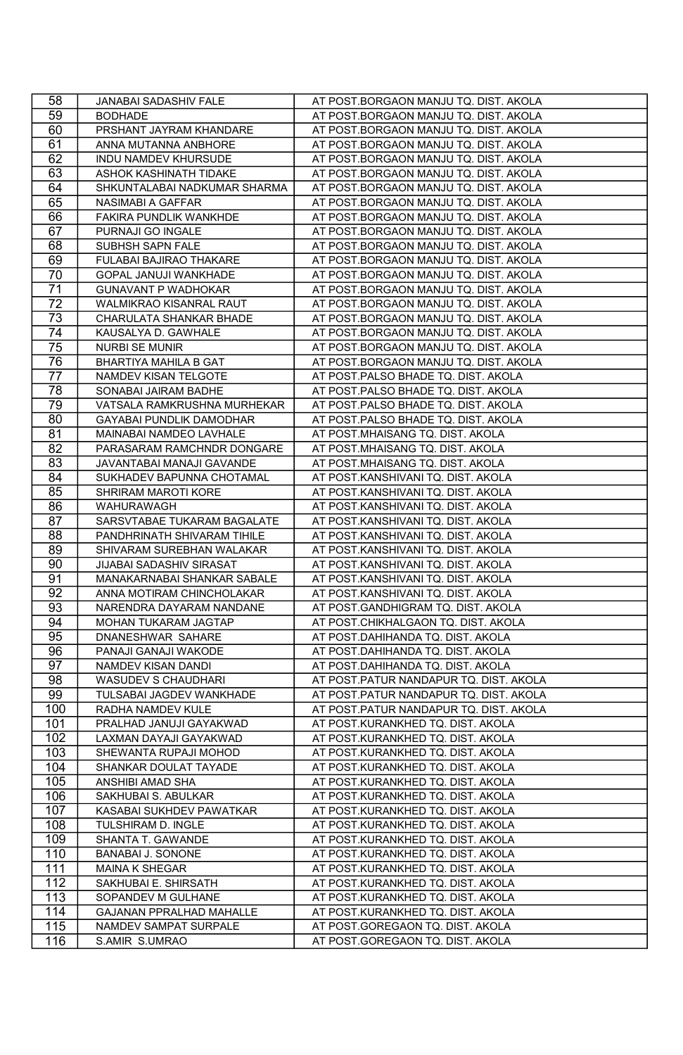| 58              | JANABAI SADASHIV FALE                                 | AT POST.BORGAON MANJU TQ. DIST. AKOLA                                  |
|-----------------|-------------------------------------------------------|------------------------------------------------------------------------|
| 59              | <b>BODHADE</b>                                        | AT POST.BORGAON MANJU TQ. DIST. AKOLA                                  |
| 60              | PRSHANT JAYRAM KHANDARE                               | AT POST.BORGAON MANJU TQ. DIST. AKOLA                                  |
| 61              | ANNA MUTANNA ANBHORE                                  | AT POST.BORGAON MANJU TQ. DIST. AKOLA                                  |
| 62              | INDU NAMDEV KHURSUDE                                  | AT POST.BORGAON MANJU TQ. DIST. AKOLA                                  |
| 63              | ASHOK KASHINATH TIDAKE                                | AT POST.BORGAON MANJU TQ. DIST. AKOLA                                  |
| 64              | SHKUNTALABAI NADKUMAR SHARMA                          | AT POST.BORGAON MANJU TQ. DIST. AKOLA                                  |
| 65              | NASIMABI A GAFFAR                                     | AT POST.BORGAON MANJU TQ. DIST. AKOLA                                  |
| 66              | FAKIRA PUNDLIK WANKHDE                                | AT POST.BORGAON MANJU TQ. DIST. AKOLA                                  |
| 67              | PURNAJI GO INGALE                                     | AT POST.BORGAON MANJU TQ. DIST. AKOLA                                  |
| 68              | SUBHSH SAPN FALE                                      | AT POST.BORGAON MANJU TQ. DIST. AKOLA                                  |
| 69              | FULABAI BAJIRAO THAKARE                               | AT POST.BORGAON MANJU TQ. DIST. AKOLA                                  |
| 70              | GOPAL JANUJI WANKHADE                                 | AT POST.BORGAON MANJU TQ. DIST. AKOLA                                  |
| 71              | <b>GUNAVANT P WADHOKAR</b>                            | AT POST.BORGAON MANJU TQ. DIST. AKOLA                                  |
| $\overline{72}$ | WALMIKRAO KISANRAL RAUT                               | AT POST.BORGAON MANJU TQ. DIST. AKOLA                                  |
| 73              | CHARULATA SHANKAR BHADE                               | AT POST.BORGAON MANJU TQ. DIST. AKOLA                                  |
| 74              | KAUSALYA D. GAWHALE                                   | AT POST.BORGAON MANJU TQ. DIST. AKOLA                                  |
| 75              | <b>NURBI SE MUNIR</b>                                 | AT POST.BORGAON MANJU TQ. DIST. AKOLA                                  |
| 76              | <b>BHARTIYA MAHILA B GAT</b>                          | AT POST.BORGAON MANJU TQ. DIST. AKOLA                                  |
| 77              | NAMDEV KISAN TELGOTE                                  | AT POST.PALSO BHADE TQ. DIST. AKOLA                                    |
| 78              | SONABAI JAIRAM BADHE                                  | AT POST.PALSO BHADE TQ. DIST. AKOLA                                    |
| 79              | VATSALA RAMKRUSHNA MURHEKAR                           | AT POST.PALSO BHADE TQ. DIST. AKOLA                                    |
| 80              | GAYABAI PUNDLIK DAMODHAR                              | AT POST.PALSO BHADE TQ. DIST. AKOLA                                    |
| 81              | MAINABAI NAMDEO LAVHALE                               | AT POST.MHAISANG TQ. DIST. AKOLA                                       |
| 82              | PARASARAM RAMCHNDR DONGARE                            | AT POST.MHAISANG TQ. DIST. AKOLA                                       |
| 83              | JAVANTABAI MANAJI GAVANDE                             | AT POST.MHAISANG TQ. DIST. AKOLA                                       |
| 84              | SUKHADEV BAPUNNA CHOTAMAL                             | AT POST.KANSHIVANI TQ. DIST. AKOLA                                     |
| 85              | SHRIRAM MAROTI KORE                                   | AT POST.KANSHIVANI TQ. DIST. AKOLA                                     |
| 86              | WAHURAWAGH                                            | AT POST.KANSHIVANI TQ. DIST. AKOLA                                     |
| 87              | SARSVTABAE TUKARAM BAGALATE                           | AT POST.KANSHIVANI TQ. DIST. AKOLA                                     |
| 88              | PANDHRINATH SHIVARAM TIHILE                           | AT POST.KANSHIVANI TQ. DIST. AKOLA                                     |
| 89              | SHIVARAM SUREBHAN WALAKAR                             | AT POST.KANSHIVANI TQ. DIST. AKOLA                                     |
| 90              | JIJABAI SADASHIV SIRASAT                              | AT POST.KANSHIVANI TQ. DIST. AKOLA                                     |
| 91              | MANAKARNABAI SHANKAR SABALE                           | AT POST.KANSHIVANI TQ. DIST. AKOLA                                     |
| $\overline{92}$ | ANNA MOTIRAM CHINCHOLAKAR                             | AT POST.KANSHIVANI TQ. DIST. AKOLA                                     |
| 93              | NARENDRA DAYARAM NANDANE                              | AT POST.GANDHIGRAM TQ. DIST. AKOLA                                     |
| 94              | MOHAN TUKARAM JAGTAP                                  | AT POST.CHIKHALGAON TQ. DIST. AKOLA                                    |
| 95              | DNANESHWAR SAHARE                                     | AT POST.DAHIHANDA TQ. DIST. AKOLA                                      |
| 96              | PANAJI GANAJI WAKODE                                  | AT POST.DAHIHANDA TQ. DIST. AKOLA                                      |
| 97              | NAMDEV KISAN DANDI                                    | AT POST.DAHIHANDA TQ. DIST. AKOLA                                      |
| 98              | WASUDEV S CHAUDHARI                                   | AT POST.PATUR NANDAPUR TQ. DIST. AKOLA                                 |
| 99              | TULSABAI JAGDEV WANKHADE                              | AT POST.PATUR NANDAPUR TQ. DIST. AKOLA                                 |
| 100<br>101      | RADHA NAMDEV KULE                                     | AT POST.PATUR NANDAPUR TQ. DIST. AKOLA                                 |
| 102             | PRALHAD JANUJI GAYAKWAD<br>LAXMAN DAYAJI GAYAKWAD     | AT POST.KURANKHED TQ. DIST. AKOLA<br>AT POST.KURANKHED TQ. DIST. AKOLA |
| 103             | SHEWANTA RUPAJI MOHOD                                 |                                                                        |
|                 | SHANKAR DOULAT TAYADE                                 | AT POST.KURANKHED TQ. DIST. AKOLA<br>AT POST.KURANKHED TQ. DIST. AKOLA |
| 104<br>105      | ANSHIBI AMAD SHA                                      | AT POST.KURANKHED TQ. DIST. AKOLA                                      |
| 106             | SAKHUBAI S. ABULKAR                                   | AT POST.KURANKHED TQ. DIST. AKOLA                                      |
| 107             |                                                       | AT POST.KURANKHED TQ. DIST. AKOLA                                      |
| 108             | KASABAI SUKHDEV PAWATKAR<br><b>TULSHIRAM D. INGLE</b> | AT POST.KURANKHED TQ. DIST. AKOLA                                      |
| 109             | SHANTA T. GAWANDE                                     | AT POST.KURANKHED TQ. DIST. AKOLA                                      |
| 110             | BANABAI J. SONONE                                     | AT POST.KURANKHED TQ. DIST. AKOLA                                      |
| 111             | MAINA K SHEGAR                                        | AT POST.KURANKHED TQ. DIST. AKOLA                                      |
| 112             | SAKHUBAI E. SHIRSATH                                  | AT POST.KURANKHED TQ. DIST. AKOLA                                      |
| 113             | SOPANDEV M GULHANE                                    | AT POST.KURANKHED TQ. DIST. AKOLA                                      |
| 114             | GAJANAN PPRALHAD MAHALLE                              | AT POST.KURANKHED TQ. DIST. AKOLA                                      |
| 115             | NAMDEV SAMPAT SURPALE                                 | AT POST.GOREGAON TQ. DIST. AKOLA                                       |
| 116             | S.AMIR S.UMRAO                                        | AT POST.GOREGAON TQ. DIST. AKOLA                                       |
|                 |                                                       |                                                                        |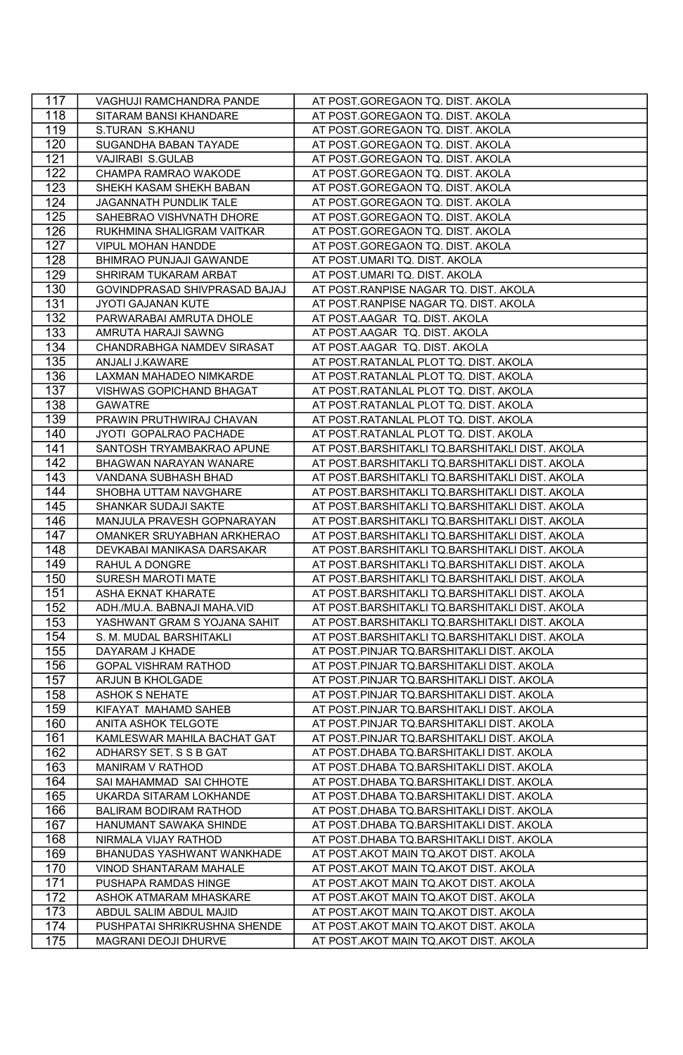| 117 | VAGHUJI RAMCHANDRA PANDE      | AT POST.GOREGAON TQ. DIST. AKOLA               |
|-----|-------------------------------|------------------------------------------------|
| 118 | SITARAM BANSI KHANDARE        | AT POST.GOREGAON TQ. DIST. AKOLA               |
| 119 | S.TURAN S.KHANU               | AT POST.GOREGAON TQ. DIST. AKOLA               |
| 120 | SUGANDHA BABAN TAYADE         | AT POST.GOREGAON TQ. DIST. AKOLA               |
| 121 | VAJIRABI S.GULAB              | AT POST.GOREGAON TQ. DIST. AKOLA               |
| 122 | CHAMPA RAMRAO WAKODE          | AT POST.GOREGAON TQ. DIST. AKOLA               |
| 123 | SHEKH KASAM SHEKH BABAN       | AT POST.GOREGAON TQ. DIST. AKOLA               |
| 124 | JAGANNATH PUNDLIK TALE        | AT POST.GOREGAON TQ. DIST. AKOLA               |
| 125 | SAHEBRAO VISHVNATH DHORE      | AT POST.GOREGAON TQ. DIST. AKOLA               |
| 126 | RUKHMINA SHALIGRAM VAITKAR    | AT POST.GOREGAON TQ. DIST. AKOLA               |
| 127 | VIPUL MOHAN HANDDE            | AT POST.GOREGAON TQ. DIST. AKOLA               |
| 128 | BHIMRAO PUNJAJI GAWANDE       | AT POST.UMARI TQ. DIST. AKOLA                  |
| 129 | SHRIRAM TUKARAM ARBAT         | AT POST.UMARI TQ. DIST. AKOLA                  |
| 130 | GOVINDPRASAD SHIVPRASAD BAJAJ | AT POST.RANPISE NAGAR TQ. DIST. AKOLA          |
| 131 | JYOTI GAJANAN KUTE            | AT POST.RANPISE NAGAR TQ. DIST. AKOLA          |
| 132 | PARWARABAI AMRUTA DHOLE       | AT POST.AAGAR TQ. DIST. AKOLA                  |
| 133 | AMRUTA HARAJI SAWNG           | AT POST.AAGAR TQ. DIST. AKOLA                  |
| 134 | CHANDRABHGA NAMDEV SIRASAT    | AT POST.AAGAR TQ. DIST. AKOLA                  |
| 135 | ANJALI J.KAWARE               | AT POST.RATANLAL PLOT TQ. DIST. AKOLA          |
| 136 | LAXMAN MAHADEO NIMKARDE       | AT POST.RATANLAL PLOT TQ. DIST. AKOLA          |
| 137 | VISHWAS GOPICHAND BHAGAT      | AT POST.RATANLAL PLOT TQ. DIST. AKOLA          |
| 138 | <b>GAWATRE</b>                | AT POST.RATANLAL PLOT TQ. DIST. AKOLA          |
| 139 | PRAWIN PRUTHWIRAJ CHAVAN      | AT POST.RATANLAL PLOT TQ. DIST. AKOLA          |
| 140 | JYOTI GOPALRAO PACHADE        | AT POST.RATANLAL PLOT TQ. DIST. AKOLA          |
| 141 | SANTOSH TRYAMBAKRAO APUNE     | AT POST.BARSHITAKLI TQ.BARSHITAKLI DIST. AKOLA |
| 142 | BHAGWAN NARAYAN WANARE        | AT POST.BARSHITAKLI TQ.BARSHITAKLI DIST. AKOLA |
| 143 | VANDANA SUBHASH BHAD          | AT POST.BARSHITAKLI TQ.BARSHITAKLI DIST. AKOLA |
| 144 | SHOBHA UTTAM NAVGHARE         | AT POST.BARSHITAKLI TQ.BARSHITAKLI DIST. AKOLA |
| 145 | SHANKAR SUDAJI SAKTE          | AT POST.BARSHITAKLI TQ.BARSHITAKLI DIST. AKOLA |
| 146 | MANJULA PRAVESH GOPNARAYAN    | AT POST.BARSHITAKLI TQ.BARSHITAKLI DIST. AKOLA |
| 147 | OMANKER SRUYABHAN ARKHERAO    | AT POST.BARSHITAKLI TQ.BARSHITAKLI DIST. AKOLA |
| 148 | DEVKABAI MANIKASA DARSAKAR    | AT POST.BARSHITAKLI TQ.BARSHITAKLI DIST. AKOLA |
| 149 | RAHUL A DONGRE                | AT POST.BARSHITAKLI TQ.BARSHITAKLI DIST. AKOLA |
| 150 | SURESH MAROTI MATE            | AT POST.BARSHITAKLI TQ.BARSHITAKLI DIST. AKOLA |
| 151 | ASHA EKNAT KHARATE            | AT POST.BARSHITAKLI TQ.BARSHITAKLI DIST. AKOLA |
| 152 | ADH./MU.A. BABNAJI MAHA.VID   | AT POST.BARSHITAKLI TQ.BARSHITAKLI DIST. AKOLA |
| 153 | YASHWANT GRAM S YOJANA SAHIT  | AT POST.BARSHITAKLI TQ.BARSHITAKLI DIST. AKOLA |
| 154 | S. M. MUDAL BARSHITAKLI       | AT POST.BARSHITAKLI TQ.BARSHITAKLI DIST. AKOLA |
| 155 | DAYARAM J KHADE               | AT POST.PINJAR TQ.BARSHITAKLI DIST. AKOLA      |
| 156 | <b>GOPAL VISHRAM RATHOD</b>   | AT POST.PINJAR TQ.BARSHITAKLI DIST. AKOLA      |
| 157 | ARJUN B KHOLGADE              | AT POST.PINJAR TQ.BARSHITAKLI DIST. AKOLA      |
| 158 | <b>ASHOK S NEHATE</b>         | AT POST.PINJAR TQ.BARSHITAKLI DIST. AKOLA      |
| 159 | KIFAYAT MAHAMD SAHEB          | AT POST.PINJAR TQ.BARSHITAKLI DIST. AKOLA      |
| 160 | ANITA ASHOK TELGOTE           | AT POST.PINJAR TQ.BARSHITAKLI DIST. AKOLA      |
| 161 | KAMLESWAR MAHILA BACHAT GAT   | AT POST.PINJAR TQ.BARSHITAKLI DIST. AKOLA      |
| 162 | ADHARSY SET. S S B GAT        | AT POST.DHABA TQ.BARSHITAKLI DIST. AKOLA       |
| 163 | MANIRAM V RATHOD              | AT POST.DHABA TQ.BARSHITAKLI DIST. AKOLA       |
| 164 | SAI MAHAMMAD SAI CHHOTE       | AT POST.DHABA TQ.BARSHITAKLI DIST. AKOLA       |
| 165 | UKARDA SITARAM LOKHANDE       | AT POST.DHABA TQ.BARSHITAKLI DIST. AKOLA       |
| 166 | <b>BALIRAM BODIRAM RATHOD</b> | AT POST.DHABA TQ.BARSHITAKLI DIST. AKOLA       |
| 167 | <b>HANUMANT SAWAKA SHINDE</b> | AT POST.DHABA TQ.BARSHITAKLI DIST. AKOLA       |
| 168 | NIRMALA VIJAY RATHOD          | AT POST.DHABA TQ.BARSHITAKLI DIST. AKOLA       |
| 169 | BHANUDAS YASHWANT WANKHADE    | AT POST.AKOT MAIN TQ.AKOT DIST. AKOLA          |
| 170 | VINOD SHANTARAM MAHALE        | AT POST.AKOT MAIN TQ.AKOT DIST. AKOLA          |
| 171 | PUSHAPA RAMDAS HINGE          | AT POST.AKOT MAIN TQ.AKOT DIST. AKOLA          |
| 172 | ASHOK ATMARAM MHASKARE        | AT POST.AKOT MAIN TQ.AKOT DIST. AKOLA          |
| 173 | ABDUL SALIM ABDUL MAJID       | AT POST.AKOT MAIN TQ.AKOT DIST. AKOLA          |
| 174 | PUSHPATAI SHRIKRUSHNA SHENDE  | AT POST.AKOT MAIN TQ.AKOT DIST. AKOLA          |
| 175 | MAGRANI DEOJI DHURVE          | AT POST.AKOT MAIN TQ.AKOT DIST. AKOLA          |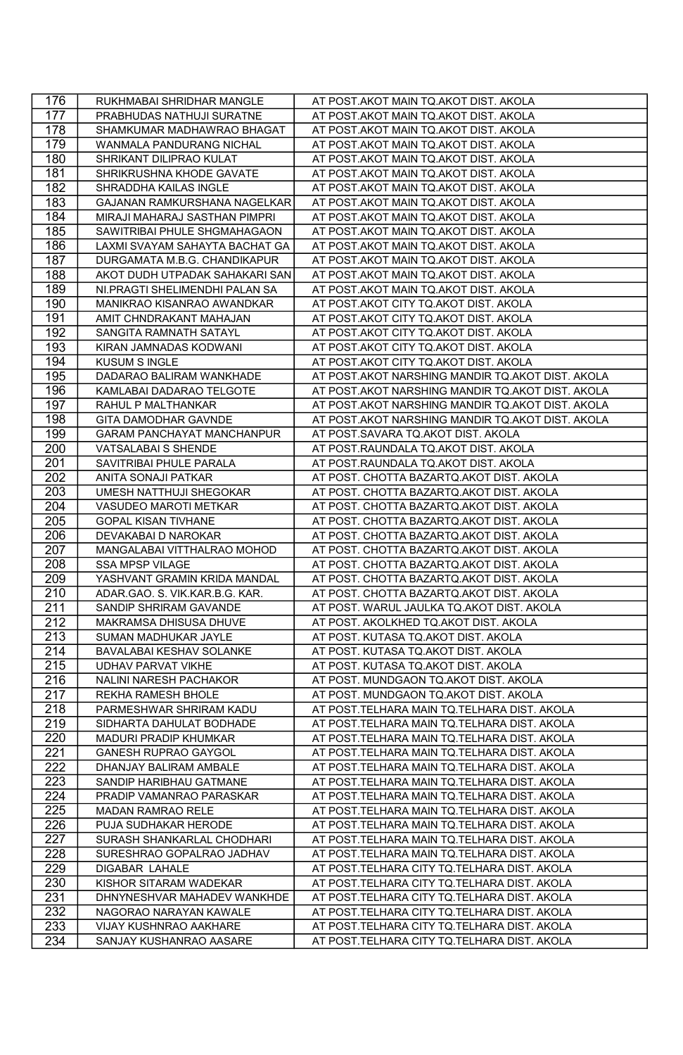| 176              | RUKHMABAI SHRIDHAR MANGLE      | AT POST.AKOT MAIN TQ.AKOT DIST. AKOLA            |
|------------------|--------------------------------|--------------------------------------------------|
| 177              | PRABHUDAS NATHUJI SURATNE      | AT POST.AKOT MAIN TQ.AKOT DIST. AKOLA            |
| 178              | SHAMKUMAR MADHAWRAO BHAGAT     | AT POST.AKOT MAIN TQ.AKOT DIST. AKOLA            |
| 179              | WANMALA PANDURANG NICHAL       | AT POST.AKOT MAIN TQ.AKOT DIST. AKOLA            |
| 180              | SHRIKANT DILIPRAO KULAT        | AT POST.AKOT MAIN TQ.AKOT DIST. AKOLA            |
| 181              | SHRIKRUSHNA KHODE GAVATE       | AT POST.AKOT MAIN TQ.AKOT DIST. AKOLA            |
| 182              | SHRADDHA KAILAS INGLE          | AT POST.AKOT MAIN TQ.AKOT DIST. AKOLA            |
| 183              | GAJANAN RAMKURSHANA NAGELKAR   | AT POST.AKOT MAIN TQ.AKOT DIST. AKOLA            |
| 184              | MIRAJI MAHARAJ SASTHAN PIMPRI  | AT POST.AKOT MAIN TQ.AKOT DIST. AKOLA            |
| 185              | SAWITRIBAI PHULE SHGMAHAGAON   | AT POST.AKOT MAIN TQ.AKOT DIST. AKOLA            |
| 186              | LAXMI SVAYAM SAHAYTA BACHAT GA | AT POST.AKOT MAIN TQ.AKOT DIST. AKOLA            |
| 187              | DURGAMATA M.B.G. CHANDIKAPUR   | AT POST.AKOT MAIN TQ.AKOT DIST. AKOLA            |
| 188              | AKOT DUDH UTPADAK SAHAKARI SAN | AT POST.AKOT MAIN TQ.AKOT DIST. AKOLA            |
| 189              | NI.PRAGTI SHELIMENDHI PALAN SA | AT POST.AKOT MAIN TQ.AKOT DIST. AKOLA            |
| 190              | MANIKRAO KISANRAO AWANDKAR     | AT POST.AKOT CITY TQ.AKOT DIST. AKOLA            |
| 191              | AMIT CHNDRAKANT MAHAJAN        | AT POST.AKOT CITY TQ.AKOT DIST. AKOLA            |
| 192              | SANGITA RAMNATH SATAYL         | AT POST.AKOT CITY TQ.AKOT DIST. AKOLA            |
| 193              | KIRAN JAMNADAS KODWANI         | AT POST.AKOT CITY TQ.AKOT DIST. AKOLA            |
| 194              | <b>KUSUM S INGLE</b>           | AT POST.AKOT CITY TQ.AKOT DIST. AKOLA            |
| 195              | DADARAO BALIRAM WANKHADE       | AT POST.AKOT NARSHING MANDIR TQ.AKOT DIST. AKOLA |
| 196              | KAMLABAI DADARAO TELGOTE       | AT POST.AKOT NARSHING MANDIR TQ.AKOT DIST. AKOLA |
| 197              | RAHUL P MALTHANKAR             | AT POST.AKOT NARSHING MANDIR TQ.AKOT DIST. AKOLA |
| 198              | GITA DAMODHAR GAVNDE           | AT POST.AKOT NARSHING MANDIR TQ.AKOT DIST. AKOLA |
| 199              | GARAM PANCHAYAT MANCHANPUR     | AT POST.SAVARA TQ.AKOT DIST. AKOLA               |
| 200              | VATSALABAI S SHENDE            | AT POST.RAUNDALA TQ.AKOT DIST. AKOLA             |
| 201              | SAVITRIBAI PHULE PARALA        | AT POST.RAUNDALA TQ.AKOT DIST. AKOLA             |
| 202              | ANITA SONAJI PATKAR            | AT POST. CHOTTA BAZARTQ.AKOT DIST. AKOLA         |
| 203              | UMESH NATTHUJI SHEGOKAR        | AT POST. CHOTTA BAZARTQ.AKOT DIST. AKOLA         |
| 204              | VASUDEO MAROTI METKAR          | AT POST. CHOTTA BAZARTQ.AKOT DIST. AKOLA         |
| 205              | <b>GOPAL KISAN TIVHANE</b>     | AT POST. CHOTTA BAZARTQ.AKOT DIST. AKOLA         |
| 206              | DEVAKABAI D NAROKAR            | AT POST. CHOTTA BAZARTQ.AKOT DIST. AKOLA         |
| 207              | MANGALABAI VITTHALRAO MOHOD    | AT POST. CHOTTA BAZARTQ.AKOT DIST. AKOLA         |
| 208              | SSA MPSP VILAGE                | AT POST. CHOTTA BAZARTQ.AKOT DIST. AKOLA         |
| 209              | YASHVANT GRAMIN KRIDA MANDAL   | AT POST. CHOTTA BAZARTQ.AKOT DIST. AKOLA         |
| 210              | ADAR.GAO. S. VIK.KAR.B.G. KAR. | AT POST. CHOTTA BAZARTQ.AKOT DIST. AKOLA         |
| 211              | SANDIP SHRIRAM GAVANDE         | AT POST. WARUL JAULKA TQ.AKOT DIST. AKOLA        |
| 212              | MAKRAMSA DHISUSA DHUVE         | AT POST. AKOLKHED TQ.AKOT DIST. AKOLA            |
| 213              | SUMAN MADHUKAR JAYLE           | AT POST. KUTASA TQ.AKOT DIST. AKOLA              |
| 214              | BAVALABAI KESHAV SOLANKE       | AT POST. KUTASA TQ.AKOT DIST. AKOLA              |
| 215              | <b>UDHAV PARVAT VIKHE</b>      | AT POST. KUTASA TQ.AKOT DIST. AKOLA              |
| 216              | NALINI NARESH PACHAKOR         | AT POST. MUNDGAON TQ.AKOT DIST. AKOLA            |
| 217              | REKHA RAMESH BHOLE             | AT POST. MUNDGAON TQ.AKOT DIST. AKOLA            |
| 218              | PARMESHWAR SHRIRAM KADU        | AT POST.TELHARA MAIN TQ.TELHARA DIST. AKOLA      |
| 219              | SIDHARTA DAHULAT BODHADE       | AT POST.TELHARA MAIN TQ.TELHARA DIST. AKOLA      |
| 220              | MADURI PRADIP KHUMKAR          | AT POST.TELHARA MAIN TQ.TELHARA DIST. AKOLA      |
| 221              | <b>GANESH RUPRAO GAYGOL</b>    | AT POST.TELHARA MAIN TQ.TELHARA DIST. AKOLA      |
| 222              | DHANJAY BALIRAM AMBALE         | AT POST.TELHARA MAIN TQ.TELHARA DIST. AKOLA      |
| 223              | SANDIP HARIBHAU GATMANE        | AT POST.TELHARA MAIN TQ.TELHARA DIST. AKOLA      |
| 224              | PRADIP VAMANRAO PARASKAR       | AT POST.TELHARA MAIN TQ.TELHARA DIST. AKOLA      |
| $\overline{225}$ | MADAN RAMRAO RELE              | AT POST.TELHARA MAIN TQ.TELHARA DIST. AKOLA      |
| 226              | PUJA SUDHAKAR HERODE           | AT POST.TELHARA MAIN TQ.TELHARA DIST. AKOLA      |
| 227              | SURASH SHANKARLAL CHODHARI     | AT POST. TELHARA MAIN TQ. TELHARA DIST. AKOLA    |
| 228              | SURESHRAO GOPALRAO JADHAV      | AT POST.TELHARA MAIN TQ.TELHARA DIST. AKOLA      |
| 229              | <b>DIGABAR LAHALE</b>          | AT POST.TELHARA CITY TQ.TELHARA DIST. AKOLA      |
| 230              | KISHOR SITARAM WADEKAR         | AT POST.TELHARA CITY TQ.TELHARA DIST. AKOLA      |
| 231              | DHNYNESHVAR MAHADEV WANKHDE    | AT POST.TELHARA CITY TQ.TELHARA DIST. AKOLA      |
| 232              | NAGORAO NARAYAN KAWALE         | AT POST.TELHARA CITY TQ.TELHARA DIST. AKOLA      |
| 233              | VIJAY KUSHNRAO AAKHARE         | AT POST.TELHARA CITY TQ.TELHARA DIST. AKOLA      |
| 234              | SANJAY KUSHANRAO AASARE        | AT POST.TELHARA CITY TQ.TELHARA DIST. AKOLA      |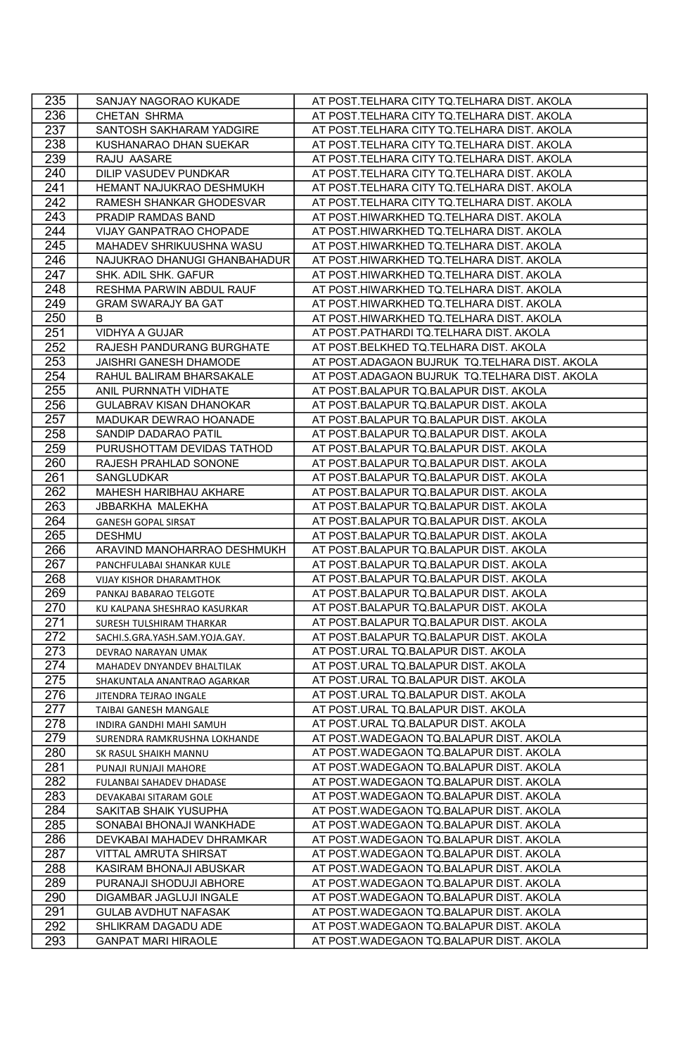| 235        | SANJAY NAGORAO KUKADE                                 | AT POST.TELHARA CITY TQ.TELHARA DIST. AKOLA                                      |
|------------|-------------------------------------------------------|----------------------------------------------------------------------------------|
| 236        | CHETAN SHRMA                                          | AT POST.TELHARA CITY TQ.TELHARA DIST. AKOLA                                      |
| 237        | SANTOSH SAKHARAM YADGIRE                              | AT POST.TELHARA CITY TQ.TELHARA DIST. AKOLA                                      |
| 238        | KUSHANARAO DHAN SUEKAR                                | AT POST.TELHARA CITY TQ.TELHARA DIST. AKOLA                                      |
| 239        | RAJU AASARE                                           | AT POST.TELHARA CITY TQ.TELHARA DIST. AKOLA                                      |
|            |                                                       |                                                                                  |
| 240        | <b>DILIP VASUDEV PUNDKAR</b>                          | AT POST.TELHARA CITY TQ.TELHARA DIST. AKOLA                                      |
| 241        | HEMANT NAJUKRAO DESHMUKH                              | AT POST.TELHARA CITY TQ.TELHARA DIST. AKOLA                                      |
| 242        | RAMESH SHANKAR GHODESVAR                              | AT POST.TELHARA CITY TQ.TELHARA DIST. AKOLA                                      |
| 243        | PRADIP RAMDAS BAND                                    | AT POST.HIWARKHED TQ.TELHARA DIST. AKOLA                                         |
| 244        | VIJAY GANPATRAO CHOPADE                               | AT POST.HIWARKHED TQ.TELHARA DIST. AKOLA                                         |
| 245        | MAHADEV SHRIKUUSHNA WASU                              | AT POST.HIWARKHED TQ.TELHARA DIST. AKOLA                                         |
| 246        | NAJUKRAO DHANUGI GHANBAHADUR                          | AT POST.HIWARKHED TQ.TELHARA DIST. AKOLA                                         |
| 247        | SHK. ADIL SHK. GAFUR                                  | AT POST.HIWARKHED TQ.TELHARA DIST. AKOLA                                         |
| 248        | RESHMA PARWIN ABDUL RAUF                              | AT POST.HIWARKHED TQ.TELHARA DIST. AKOLA                                         |
| 249        | <b>GRAM SWARAJY BA GAT</b>                            | AT POST.HIWARKHED TQ.TELHARA DIST. AKOLA                                         |
| 250        | B                                                     | AT POST.HIWARKHED TQ.TELHARA DIST. AKOLA                                         |
| 251        | VIDHYA A GUJAR                                        | AT POST.PATHARDI TQ.TELHARA DIST. AKOLA                                          |
| 252        | RAJESH PANDURANG BURGHATE                             | AT POST.BELKHED TQ.TELHARA DIST. AKOLA                                           |
| 253        | JAISHRI GANESH DHAMODE                                | AT POST.ADAGAON BUJRUK TQ.TELHARA DIST. AKOLA                                    |
| 254        | RAHUL BALIRAM BHARSAKALE                              | AT POST.ADAGAON BUJRUK TQ.TELHARA DIST. AKOLA                                    |
| 255        | ANIL PURNNATH VIDHATE                                 | AT POST.BALAPUR TQ.BALAPUR DIST. AKOLA                                           |
| 256        | GULABRAV KISAN DHANOKAR                               | AT POST.BALAPUR TQ.BALAPUR DIST. AKOLA                                           |
| 257        | MADUKAR DEWRAO HOANADE                                | AT POST.BALAPUR TQ.BALAPUR DIST. AKOLA                                           |
| 258        | SANDIP DADARAO PATIL                                  | AT POST.BALAPUR TQ.BALAPUR DIST. AKOLA                                           |
| 259        | PURUSHOTTAM DEVIDAS TATHOD                            | AT POST.BALAPUR TQ.BALAPUR DIST. AKOLA                                           |
| 260        | RAJESH PRAHLAD SONONE                                 | AT POST.BALAPUR TQ.BALAPUR DIST. AKOLA                                           |
| 261        | SANGLUDKAR                                            | AT POST.BALAPUR TQ.BALAPUR DIST. AKOLA                                           |
| 262        | MAHESH HARIBHAU AKHARE                                | AT POST.BALAPUR TQ.BALAPUR DIST. AKOLA                                           |
| 263        | JBBARKHA MALEKHA                                      | AT POST.BALAPUR TQ.BALAPUR DIST. AKOLA                                           |
| 264        | <b>GANESH GOPAL SIRSAT</b>                            | AT POST.BALAPUR TQ.BALAPUR DIST. AKOLA                                           |
| 265        | <b>DESHMU</b>                                         | AT POST.BALAPUR TQ.BALAPUR DIST. AKOLA                                           |
| 266        | ARAVIND MANOHARRAO DESHMUKH                           | AT POST.BALAPUR TQ.BALAPUR DIST. AKOLA                                           |
| 267        | PANCHFULABAI SHANKAR KULE                             | AT POST.BALAPUR TQ.BALAPUR DIST. AKOLA                                           |
| 268        | <b>VIJAY KISHOR DHARAMTHOK</b>                        | AT POST.BALAPUR TQ.BALAPUR DIST. AKOLA                                           |
| 269        | PANKAJ BABARAO TELGOTE                                | AT POST.BALAPUR TQ.BALAPUR DIST. AKOLA                                           |
| 270<br>271 | KU KALPANA SHESHRAO KASURKAR                          | AT POST.BALAPUR TQ.BALAPUR DIST. AKOLA<br>AT POST.BALAPUR TQ.BALAPUR DIST. AKOLA |
| 272        | SURESH TULSHIRAM THARKAR                              | AT POST.BALAPUR TQ.BALAPUR DIST. AKOLA                                           |
| 273        | SACHI.S.GRA.YASH.SAM.YOJA.GAY.                        | AT POST.URAL TQ.BALAPUR DIST. AKOLA                                              |
| 274        | DEVRAO NARAYAN UMAK                                   | AT POST.URAL TQ.BALAPUR DIST. AKOLA                                              |
| 275        | MAHADEV DNYANDEV BHALTILAK                            | AT POST.URAL TQ.BALAPUR DIST. AKOLA                                              |
| 276        | SHAKUNTALA ANANTRAO AGARKAR<br>JITENDRA TEJRAO INGALE | AT POST.URAL TQ.BALAPUR DIST. AKOLA                                              |
| 277        | TAIBAI GANESH MANGALE                                 | AT POST.URAL TQ.BALAPUR DIST. AKOLA                                              |
| 278        | INDIRA GANDHI MAHI SAMUH                              | AT POST.URAL TQ.BALAPUR DIST. AKOLA                                              |
| 279        | SURENDRA RAMKRUSHNA LOKHANDE                          | AT POST.WADEGAON TQ.BALAPUR DIST. AKOLA                                          |
| 280        | SK RASUL SHAIKH MANNU                                 | AT POST.WADEGAON TQ.BALAPUR DIST. AKOLA                                          |
| 281        | PUNAJI RUNJAJI MAHORE                                 | AT POST.WADEGAON TQ.BALAPUR DIST. AKOLA                                          |
| 282        | FULANBAI SAHADEV DHADASE                              | AT POST.WADEGAON TQ.BALAPUR DIST. AKOLA                                          |
| 283        | DEVAKABAI SITARAM GOLE                                | AT POST. WADEGAON TQ. BALAPUR DIST. AKOLA                                        |
| 284        | SAKITAB SHAIK YUSUPHA                                 | AT POST.WADEGAON TQ.BALAPUR DIST. AKOLA                                          |
| 285        | SONABAI BHONAJI WANKHADE                              | AT POST.WADEGAON TQ.BALAPUR DIST. AKOLA                                          |
| 286        | DEVKABAI MAHADEV DHRAMKAR                             | AT POST.WADEGAON TQ.BALAPUR DIST. AKOLA                                          |
| 287        | VITTAL AMRUTA SHIRSAT                                 | AT POST.WADEGAON TQ.BALAPUR DIST. AKOLA                                          |
| 288        | KASIRAM BHONAJI ABUSKAR                               | AT POST.WADEGAON TQ.BALAPUR DIST. AKOLA                                          |
| 289        | PURANAJI SHODUJI ABHORE                               | AT POST.WADEGAON TQ.BALAPUR DIST. AKOLA                                          |
| 290        | DIGAMBAR JAGLUJI INGALE                               | AT POST.WADEGAON TQ.BALAPUR DIST. AKOLA                                          |
| 291        | <b>GULAB AVDHUT NAFASAK</b>                           | AT POST.WADEGAON TQ.BALAPUR DIST. AKOLA                                          |
| 292        | SHLIKRAM DAGADU ADE                                   | AT POST.WADEGAON TQ.BALAPUR DIST. AKOLA                                          |
| 293        | <b>GANPAT MARI HIRAOLE</b>                            | AT POST.WADEGAON TQ.BALAPUR DIST. AKOLA                                          |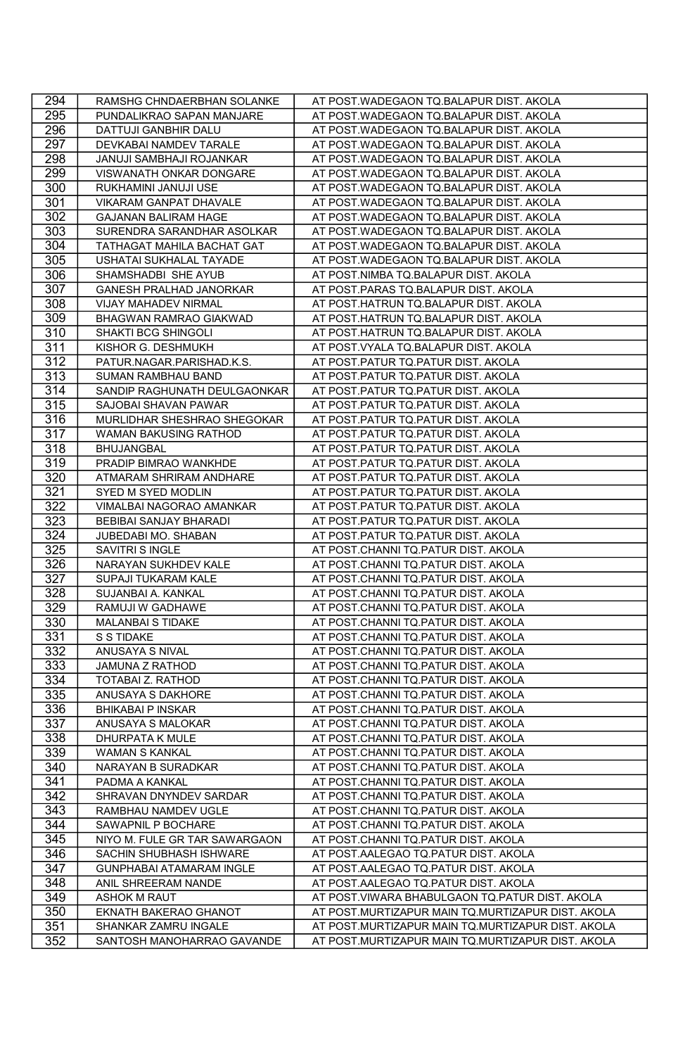| 294              | RAMSHG CHNDAERBHAN SOLANKE      | AT POST.WADEGAON TQ.BALAPUR DIST. AKOLA           |
|------------------|---------------------------------|---------------------------------------------------|
| 295              | PUNDALIKRAO SAPAN MANJARE       | AT POST.WADEGAON TQ.BALAPUR DIST. AKOLA           |
| 296              | DATTUJI GANBHIR DALU            | AT POST.WADEGAON TQ.BALAPUR DIST. AKOLA           |
| 297              | DEVKABAI NAMDEV TARALE          | AT POST.WADEGAON TQ.BALAPUR DIST. AKOLA           |
| 298              | JANUJI SAMBHAJI ROJANKAR        | AT POST.WADEGAON TQ.BALAPUR DIST. AKOLA           |
| 299              | VISWANATH ONKAR DONGARE         | AT POST.WADEGAON TQ.BALAPUR DIST. AKOLA           |
| 300              | RUKHAMINI JANUJI USE            | AT POST.WADEGAON TQ.BALAPUR DIST. AKOLA           |
| 301              | VIKARAM GANPAT DHAVALE          | AT POST.WADEGAON TQ.BALAPUR DIST. AKOLA           |
| 302              | <b>GAJANAN BALIRAM HAGE</b>     | AT POST.WADEGAON TQ.BALAPUR DIST. AKOLA           |
| 303              | SURENDRA SARANDHAR ASOLKAR      | AT POST.WADEGAON TQ.BALAPUR DIST. AKOLA           |
| 304              | TATHAGAT MAHILA BACHAT GAT      | AT POST.WADEGAON TQ.BALAPUR DIST. AKOLA           |
| 305              | USHATAI SUKHALAL TAYADE         | AT POST.WADEGAON TQ.BALAPUR DIST. AKOLA           |
| 306              | SHAMSHADBI SHE AYUB             | AT POST.NIMBA TQ.BALAPUR DIST. AKOLA              |
| 307              | GANESH PRALHAD JANORKAR         | AT POST.PARAS TQ.BALAPUR DIST. AKOLA              |
| 308              | VIJAY MAHADEV NIRMAL            | AT POST.HATRUN TQ.BALAPUR DIST. AKOLA             |
| 309              | BHAGWAN RAMRAO GIAKWAD          | AT POST.HATRUN TQ.BALAPUR DIST. AKOLA             |
| 310              | SHAKTI BCG SHINGOLI             | AT POST.HATRUN TQ.BALAPUR DIST. AKOLA             |
| 311              | KISHOR G. DESHMUKH              | AT POST.VYALA TQ.BALAPUR DIST. AKOLA              |
| 312              | PATUR.NAGAR.PARISHAD.K.S.       | AT POST.PATUR TQ.PATUR DIST. AKOLA                |
| 313              | SUMAN RAMBHAU BAND              | AT POST.PATUR TQ.PATUR DIST. AKOLA                |
| 314              | SANDIP RAGHUNATH DEULGAONKAR    | AT POST.PATUR TQ.PATUR DIST. AKOLA                |
| 315              | SAJOBAI SHAVAN PAWAR            | AT POST.PATUR TQ.PATUR DIST. AKOLA                |
| 316              | MURLIDHAR SHESHRAO SHEGOKAR     | AT POST.PATUR TQ.PATUR DIST. AKOLA                |
| 317              | WAMAN BAKUSING RATHOD           | AT POST.PATUR TQ.PATUR DIST. AKOLA                |
| 318              | BHUJANGBAL                      | AT POST.PATUR TQ.PATUR DIST. AKOLA                |
| 319              | PRADIP BIMRAO WANKHDE           | AT POST.PATUR TO.PATUR DIST. AKOLA                |
| 320              | ATMARAM SHRIRAM ANDHARE         | AT POST.PATUR TQ.PATUR DIST. AKOLA                |
| 321              | SYED M SYED MODLIN              | AT POST.PATUR TQ.PATUR DIST. AKOLA                |
| 322              | VIMALBAI NAGORAO AMANKAR        | AT POST.PATUR TQ.PATUR DIST. AKOLA                |
| 323              | BEBIBAI SANJAY BHARADI          | AT POST.PATUR TQ.PATUR DIST. AKOLA                |
| 324              | JUBEDABI MO. SHABAN             | AT POST.PATUR TQ.PATUR DIST. AKOLA                |
| 325              | SAVITRI S INGLE                 | AT POST.CHANNI TQ.PATUR DIST. AKOLA               |
| 326              | NARAYAN SUKHDEV KALE            | AT POST.CHANNI TQ.PATUR DIST. AKOLA               |
| 327              | SUPAJI TUKARAM KALE             | AT POST.CHANNI TQ.PATUR DIST. AKOLA               |
| $\overline{328}$ | SUJANBAI A. KANKAL              | AT POST.CHANNI TQ.PATUR DIST. AKOLA               |
| 329              | RAMUJI W GADHAWE                | AT POST.CHANNI TQ.PATUR DIST. AKOLA               |
| 330              | MALANBAI S TIDAKE               | AT POST.CHANNI TQ.PATUR DIST. AKOLA               |
| 331              | S S TIDAKE                      | AT POST.CHANNI TQ.PATUR DIST. AKOLA               |
| 332              | ANUSAYA S NIVAL                 | AT POST.CHANNI TQ.PATUR DIST. AKOLA               |
| 333              | <b>JAMUNA Z RATHOD</b>          | AT POST.CHANNI TQ.PATUR DIST. AKOLA               |
| 334              | TOTABAI Z. RATHOD               | AT POST.CHANNI TQ.PATUR DIST. AKOLA               |
| 335              | ANUSAYA S DAKHORE               | AT POST.CHANNI TQ.PATUR DIST. AKOLA               |
| 336              | <b>BHIKABAI P INSKAR</b>        | AT POST.CHANNI TQ.PATUR DIST. AKOLA               |
| 337              | ANUSAYA S MALOKAR               | AT POST.CHANNI TQ.PATUR DIST. AKOLA               |
| 338              | DHURPATA K MULE                 | AT POST.CHANNI TQ.PATUR DIST. AKOLA               |
| 339              | <b>WAMAN S KANKAL</b>           | AT POST.CHANNI TQ.PATUR DIST. AKOLA               |
| 340              | NARAYAN B SURADKAR              | AT POST.CHANNI TQ.PATUR DIST. AKOLA               |
| 341              | PADMA A KANKAL                  | AT POST.CHANNI TQ.PATUR DIST. AKOLA               |
| 342              | SHRAVAN DNYNDEV SARDAR          | AT POST.CHANNI TQ.PATUR DIST. AKOLA               |
| 343              | RAMBHAU NAMDEV UGLE             | AT POST.CHANNI TQ.PATUR DIST. AKOLA               |
| 344              | SAWAPNIL P BOCHARE              | AT POST.CHANNI TQ.PATUR DIST. AKOLA               |
| 345              | NIYO M. FULE GR TAR SAWARGAON   | AT POST.CHANNI TQ.PATUR DIST. AKOLA               |
| 346              | SACHIN SHUBHASH ISHWARE         | AT POST.AALEGAO TQ.PATUR DIST. AKOLA              |
| 347              | <b>GUNPHABAI ATAMARAM INGLE</b> | AT POST.AALEGAO TQ.PATUR DIST. AKOLA              |
| 348              | ANIL SHREERAM NANDE             | AT POST.AALEGAO TQ.PATUR DIST. AKOLA              |
| 349              | <b>ASHOK M RAUT</b>             | AT POST.VIWARA BHABULGAON TQ.PATUR DIST. AKOLA    |
| 350              | EKNATH BAKERAO GHANOT           | AT POST.MURTIZAPUR MAIN TQ.MURTIZAPUR DIST. AKOLA |
| 351              | SHANKAR ZAMRU INGALE            | AT POST.MURTIZAPUR MAIN TQ.MURTIZAPUR DIST. AKOLA |
| 352              | SANTOSH MANOHARRAO GAVANDE      | AT POST.MURTIZAPUR MAIN TQ.MURTIZAPUR DIST. AKOLA |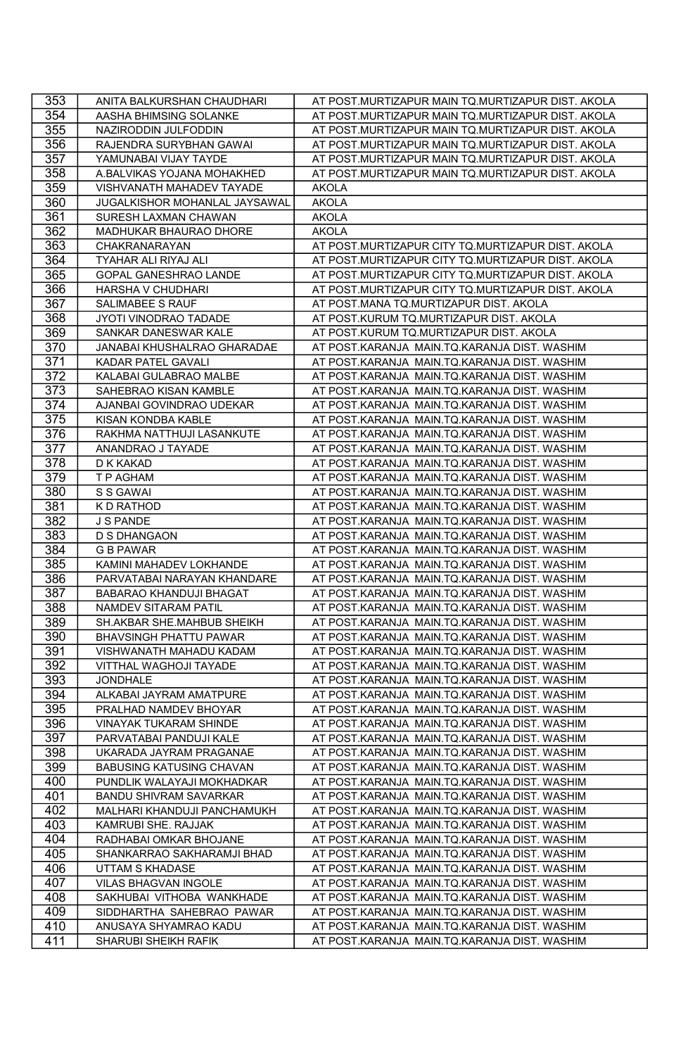| 353 | ANITA BALKURSHAN CHAUDHARI      | AT POST.MURTIZAPUR MAIN TQ.MURTIZAPUR DIST. AKOLA |
|-----|---------------------------------|---------------------------------------------------|
| 354 | AASHA BHIMSING SOLANKE          | AT POST.MURTIZAPUR MAIN TQ.MURTIZAPUR DIST. AKOLA |
| 355 | NAZIRODDIN JULFODDIN            | AT POST.MURTIZAPUR MAIN TQ.MURTIZAPUR DIST. AKOLA |
| 356 | RAJENDRA SURYBHAN GAWAI         | AT POST.MURTIZAPUR MAIN TQ.MURTIZAPUR DIST. AKOLA |
| 357 | YAMUNABAI VIJAY TAYDE           | AT POST.MURTIZAPUR MAIN TQ.MURTIZAPUR DIST. AKOLA |
| 358 | A.BALVIKAS YOJANA MOHAKHED      | AT POST.MURTIZAPUR MAIN TQ.MURTIZAPUR DIST. AKOLA |
| 359 | VISHVANATH MAHADEV TAYADE       | <b>AKOLA</b>                                      |
| 360 | JUGALKISHOR MOHANLAL JAYSAWAL   | <b>AKOLA</b>                                      |
| 361 | SURESH LAXMAN CHAWAN            | <b>AKOLA</b>                                      |
| 362 | MADHUKAR BHAURAO DHORE          | <b>AKOLA</b>                                      |
|     | CHAKRANARAYAN                   |                                                   |
| 363 |                                 | AT POST.MURTIZAPUR CITY TQ.MURTIZAPUR DIST. AKOLA |
| 364 | TYAHAR ALI RIYAJ ALI            | AT POST.MURTIZAPUR CITY TQ.MURTIZAPUR DIST. AKOLA |
| 365 | GOPAL GANESHRAO LANDE           | AT POST.MURTIZAPUR CITY TQ.MURTIZAPUR DIST. AKOLA |
| 366 | HARSHA V CHUDHARI               | AT POST.MURTIZAPUR CITY TQ.MURTIZAPUR DIST. AKOLA |
| 367 | SALIMABEE S RAUF                | AT POST.MANA TQ.MURTIZAPUR DIST. AKOLA            |
| 368 | JYOTI VINODRAO TADADE           | AT POST.KURUM TQ.MURTIZAPUR DIST. AKOLA           |
| 369 | SANKAR DANESWAR KALE            | AT POST.KURUM TQ.MURTIZAPUR DIST. AKOLA           |
| 370 | JANABAI KHUSHALRAO GHARADAE     | AT POST.KARANJA MAIN.TQ.KARANJA DIST. WASHIM      |
| 371 | KADAR PATEL GAVALI              | AT POST.KARANJA MAIN.TQ.KARANJA DIST. WASHIM      |
| 372 | KALABAI GULABRAO MALBE          | AT POST.KARANJA MAIN.TQ.KARANJA DIST. WASHIM      |
| 373 | SAHEBRAO KISAN KAMBLE           | AT POST.KARANJA MAIN.TQ.KARANJA DIST. WASHIM      |
| 374 | AJANBAI GOVINDRAO UDEKAR        | AT POST.KARANJA MAIN.TQ.KARANJA DIST. WASHIM      |
| 375 | KISAN KONDBA KABLE              | AT POST.KARANJA MAIN.TQ.KARANJA DIST. WASHIM      |
| 376 | RAKHMA NATTHUJI LASANKUTE       | AT POST.KARANJA MAIN.TQ.KARANJA DIST. WASHIM      |
| 377 | ANANDRAO J TAYADE               | AT POST.KARANJA MAIN.TQ.KARANJA DIST. WASHIM      |
| 378 | D K KAKAD                       | AT POST.KARANJA MAIN.TQ.KARANJA DIST. WASHIM      |
| 379 | T P AGHAM                       | AT POST.KARANJA MAIN.TQ.KARANJA DIST. WASHIM      |
| 380 | S S GAWAI                       | AT POST.KARANJA MAIN.TQ.KARANJA DIST. WASHIM      |
| 381 | K D RATHOD                      | AT POST.KARANJA MAIN.TQ.KARANJA DIST. WASHIM      |
| 382 | J S PANDE                       | AT POST.KARANJA MAIN.TQ.KARANJA DIST. WASHIM      |
| 383 | <b>D S DHANGAON</b>             | AT POST.KARANJA MAIN.TQ.KARANJA DIST. WASHIM      |
| 384 | <b>G B PAWAR</b>                | AT POST.KARANJA MAIN.TQ.KARANJA DIST. WASHIM      |
| 385 | KAMINI MAHADEV LOKHANDE         | AT POST.KARANJA MAIN.TQ.KARANJA DIST. WASHIM      |
| 386 | PARVATABAI NARAYAN KHANDARE     | AT POST.KARANJA MAIN.TQ.KARANJA DIST. WASHIM      |
| 387 | BABARAO KHANDUJI BHAGAT         | AT POST.KARANJA MAIN.TQ.KARANJA DIST. WASHIM      |
| 388 | <b>NAMDEV SITARAM PATIL</b>     | AT POST.KARANJA MAIN.TQ.KARANJA DIST. WASHIM      |
| 389 | SH.AKBAR SHE.MAHBUB SHEIKH      | AT POST.KARANJA MAIN.TQ.KARANJA DIST. WASHIM      |
| 390 | <b>BHAVSINGH PHATTU PAWAR</b>   | AT POST.KARANJA MAIN.TQ.KARANJA DIST. WASHIM      |
| 391 | VISHWANATH MAHADU KADAM         | AT POST.KARANJA MAIN.TQ.KARANJA DIST. WASHIM      |
| 392 | VITTHAL WAGHOJI TAYADE          | AT POST.KARANJA MAIN.TQ.KARANJA DIST. WASHIM      |
| 393 | <b>JONDHALE</b>                 | AT POST.KARANJA MAIN.TQ.KARANJA DIST. WASHIM      |
| 394 | ALKABAI JAYRAM AMATPURE         | AT POST.KARANJA MAIN.TQ.KARANJA DIST. WASHIM      |
| 395 | PRALHAD NAMDEV BHOYAR           | AT POST.KARANJA MAIN.TQ.KARANJA DIST. WASHIM      |
| 396 | <b>VINAYAK TUKARAM SHINDE</b>   | AT POST.KARANJA MAIN.TQ.KARANJA DIST. WASHIM      |
| 397 | PARVATABAI PANDUJI KALE         | AT POST.KARANJA MAIN.TQ.KARANJA DIST. WASHIM      |
| 398 | UKARADA JAYRAM PRAGANAE         | AT POST.KARANJA MAIN.TQ.KARANJA DIST. WASHIM      |
| 399 | <b>BABUSING KATUSING CHAVAN</b> | AT POST.KARANJA MAIN.TQ.KARANJA DIST. WASHIM      |
| 400 | PUNDLIK WALAYAJI MOKHADKAR      | AT POST.KARANJA MAIN.TQ.KARANJA DIST. WASHIM      |
| 401 | <b>BANDU SHIVRAM SAVARKAR</b>   | AT POST.KARANJA MAIN.TQ.KARANJA DIST. WASHIM      |
| 402 | MALHARI KHANDUJI PANCHAMUKH     | AT POST.KARANJA MAIN.TQ.KARANJA DIST. WASHIM      |
| 403 | KAMRUBI SHE. RAJJAK             | AT POST.KARANJA MAIN.TQ.KARANJA DIST. WASHIM      |
| 404 | RADHABAI OMKAR BHOJANE          | AT POST.KARANJA MAIN.TQ.KARANJA DIST. WASHIM      |
| 405 | SHANKARRAO SAKHARAMJI BHAD      | AT POST.KARANJA MAIN.TQ.KARANJA DIST. WASHIM      |
| 406 |                                 |                                                   |
|     | <b>UTTAM S KHADASE</b>          | AT POST.KARANJA MAIN.TQ.KARANJA DIST. WASHIM      |
| 407 | VILAS BHAGVAN INGOLE            | AT POST.KARANJA MAIN.TQ.KARANJA DIST. WASHIM      |
| 408 | SAKHUBAI VITHOBA WANKHADE       | AT POST.KARANJA MAIN.TQ.KARANJA DIST. WASHIM      |
| 409 | SIDDHARTHA SAHEBRAO PAWAR       | AT POST.KARANJA MAIN.TQ.KARANJA DIST. WASHIM      |
| 410 | ANUSAYA SHYAMRAO KADU           | AT POST.KARANJA MAIN.TQ.KARANJA DIST. WASHIM      |
| 411 | SHARUBI SHEIKH RAFIK            | AT POST.KARANJA MAIN.TQ.KARANJA DIST. WASHIM      |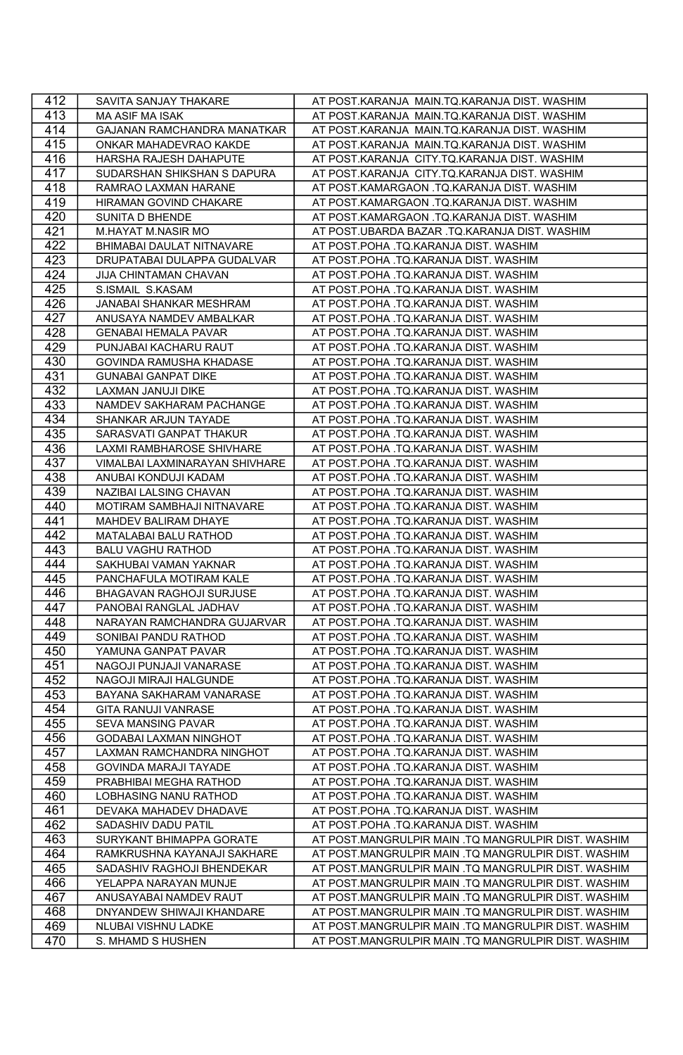| 412 | SAVITA SANJAY THAKARE          | AT POST.KARANJA MAIN.TQ.KARANJA DIST. WASHIM        |
|-----|--------------------------------|-----------------------------------------------------|
| 413 | <b>MA ASIF MA ISAK</b>         | AT POST.KARANJA MAIN.TQ.KARANJA DIST. WASHIM        |
| 414 | GAJANAN RAMCHANDRA MANATKAR    | AT POST.KARANJA MAIN.TQ.KARANJA DIST. WASHIM        |
| 415 | ONKAR MAHADEVRAO KAKDE         | AT POST.KARANJA MAIN.TQ.KARANJA DIST. WASHIM        |
| 416 | HARSHA RAJESH DAHAPUTE         | AT POST.KARANJA CITY.TQ.KARANJA DIST. WASHIM        |
| 417 | SUDARSHAN SHIKSHAN S DAPURA    | AT POST.KARANJA CITY.TQ.KARANJA DIST. WASHIM        |
| 418 | RAMRAO LAXMAN HARANE           | AT POST.KAMARGAON .TQ.KARANJA DIST. WASHIM          |
| 419 | HIRAMAN GOVIND CHAKARE         | AT POST.KAMARGAON .TQ.KARANJA DIST. WASHIM          |
| 420 | SUNITA D BHENDE                | AT POST.KAMARGAON .TQ.KARANJA DIST. WASHIM          |
| 421 | M.HAYAT M.NASIR MO             | AT POST.UBARDA BAZAR .TQ.KARANJA DIST. WASHIM       |
| 422 | BHIMABAI DAULAT NITNAVARE      | AT POST.POHA .TQ.KARANJA DIST. WASHIM               |
| 423 | DRUPATABAI DULAPPA GUDALVAR    | AT POST.POHA .TQ.KARANJA DIST. WASHIM               |
| 424 | JIJA CHINTAMAN CHAVAN          | AT POST.POHA .TQ.KARANJA DIST. WASHIM               |
| 425 | S.ISMAIL S.KASAM               | AT POST.POHA .TQ.KARANJA DIST. WASHIM               |
| 426 | JANABAI SHANKAR MESHRAM        | AT POST.POHA .TQ.KARANJA DIST. WASHIM               |
| 427 | ANUSAYA NAMDEV AMBALKAR        | AT POST.POHA .TQ.KARANJA DIST. WASHIM               |
| 428 | <b>GENABAI HEMALA PAVAR</b>    | AT POST.POHA .TQ.KARANJA DIST. WASHIM               |
| 429 | PUNJABAI KACHARU RAUT          | AT POST.POHA .TQ.KARANJA DIST. WASHIM               |
| 430 | GOVINDA RAMUSHA KHADASE        | AT POST.POHA .TQ.KARANJA DIST. WASHIM               |
| 431 | <b>GUNABAI GANPAT DIKE</b>     | AT POST.POHA .TQ.KARANJA DIST. WASHIM               |
| 432 | LAXMAN JANUJI DIKE             | AT POST.POHA .TQ.KARANJA DIST. WASHIM               |
| 433 | NAMDEV SAKHARAM PACHANGE       | AT POST.POHA .TQ.KARANJA DIST. WASHIM               |
| 434 | SHANKAR ARJUN TAYADE           | AT POST.POHA .TQ.KARANJA DIST. WASHIM               |
| 435 | SARASVATI GANPAT THAKUR        | AT POST.POHA .TQ.KARANJA DIST. WASHIM               |
| 436 | LAXMI RAMBHAROSE SHIVHARE      | AT POST.POHA .TQ.KARANJA DIST. WASHIM               |
| 437 | VIMALBAI LAXMINARAYAN SHIVHARE | AT POST.POHA .TQ.KARANJA DIST. WASHIM               |
| 438 | ANUBAI KONDUJI KADAM           | AT POST.POHA .TQ.KARANJA DIST. WASHIM               |
| 439 | NAZIBAI LALSING CHAVAN         | AT POST.POHA .TQ.KARANJA DIST. WASHIM               |
| 440 | MOTIRAM SAMBHAJI NITNAVARE     | AT POST.POHA .TQ.KARANJA DIST. WASHIM               |
| 441 | MAHDEV BALIRAM DHAYE           | AT POST.POHA .TQ.KARANJA DIST. WASHIM               |
| 442 | MATALABAI BALU RATHOD          | AT POST.POHA .TQ.KARANJA DIST. WASHIM               |
| 443 | <b>BALU VAGHU RATHOD</b>       | AT POST.POHA .TQ.KARANJA DIST. WASHIM               |
| 444 | SAKHUBAI VAMAN YAKNAR          | AT POST.POHA .TQ.KARANJA DIST. WASHIM               |
| 445 | PANCHAFULA MOTIRAM KALE        | AT POST.POHA .TQ.KARANJA DIST. WASHIM               |
| 446 | BHAGAVAN RAGHOJI SURJUSE       | AT POST.POHA .TQ.KARANJA DIST. WASHIM               |
| 447 | PANOBAI RANGLAL JADHAV         | AT POST.POHA .TQ.KARANJA DIST. WASHIM               |
| 448 | NARAYAN RAMCHANDRA GUJARVAR    | AT POST.POHA .TQ.KARANJA DIST. WASHIM               |
| 449 | SONIBAI PANDU RATHOD           | AT POST.POHA .TQ.KARANJA DIST. WASHIM               |
| 450 | YAMUNA GANPAT PAVAR            | AT POST.POHA .TQ.KARANJA DIST. WASHIM               |
| 451 | NAGOJI PUNJAJI VANARASE        | AT POST.POHA .TQ.KARANJA DIST. WASHIM               |
| 452 | NAGOJI MIRAJI HALGUNDE         | AT POST.POHA .TQ.KARANJA DIST. WASHIM               |
| 453 | BAYANA SAKHARAM VANARASE       | AT POST.POHA .TQ.KARANJA DIST. WASHIM               |
| 454 | GITA RANUJI VANRASE            | AT POST.POHA .TQ.KARANJA DIST. WASHIM               |
| 455 | <b>SEVA MANSING PAVAR</b>      | AT POST.POHA .TQ.KARANJA DIST. WASHIM               |
| 456 | GODABAI LAXMAN NINGHOT         | AT POST.POHA .TQ.KARANJA DIST. WASHIM               |
| 457 | LAXMAN RAMCHANDRA NINGHOT      | AT POST.POHA .TQ.KARANJA DIST. WASHIM               |
| 458 | GOVINDA MARAJI TAYADE          | AT POST.POHA .TQ.KARANJA DIST. WASHIM               |
| 459 | PRABHIBAI MEGHA RATHOD         | AT POST.POHA .TQ.KARANJA DIST. WASHIM               |
| 460 | LOBHASING NANU RATHOD          | AT POST.POHA .TQ.KARANJA DIST. WASHIM               |
| 461 | DEVAKA MAHADEV DHADAVE         | AT POST.POHA .TQ.KARANJA DIST. WASHIM               |
| 462 | SADASHIV DADU PATIL            | AT POST.POHA .TQ.KARANJA DIST. WASHIM               |
| 463 | SURYKANT BHIMAPPA GORATE       | AT POST.MANGRULPIR MAIN .TQ MANGRULPIR DIST. WASHIM |
| 464 | RAMKRUSHNA KAYANAJI SAKHARE    | AT POST.MANGRULPIR MAIN .TQ MANGRULPIR DIST. WASHIM |
| 465 | SADASHIV RAGHOJI BHENDEKAR     | AT POST.MANGRULPIR MAIN .TQ MANGRULPIR DIST. WASHIM |
| 466 | YELAPPA NARAYAN MUNJE          | AT POST.MANGRULPIR MAIN .TQ MANGRULPIR DIST. WASHIM |
| 467 | ANUSAYABAI NAMDEV RAUT         | AT POST.MANGRULPIR MAIN .TQ MANGRULPIR DIST. WASHIM |
| 468 | DNYANDEW SHIWAJI KHANDARE      | AT POST.MANGRULPIR MAIN .TQ MANGRULPIR DIST. WASHIM |
| 469 | NLUBAI VISHNU LADKE            | AT POST.MANGRULPIR MAIN .TQ MANGRULPIR DIST. WASHIM |
| 470 | S. MHAMD S HUSHEN              | AT POST.MANGRULPIR MAIN .TQ MANGRULPIR DIST. WASHIM |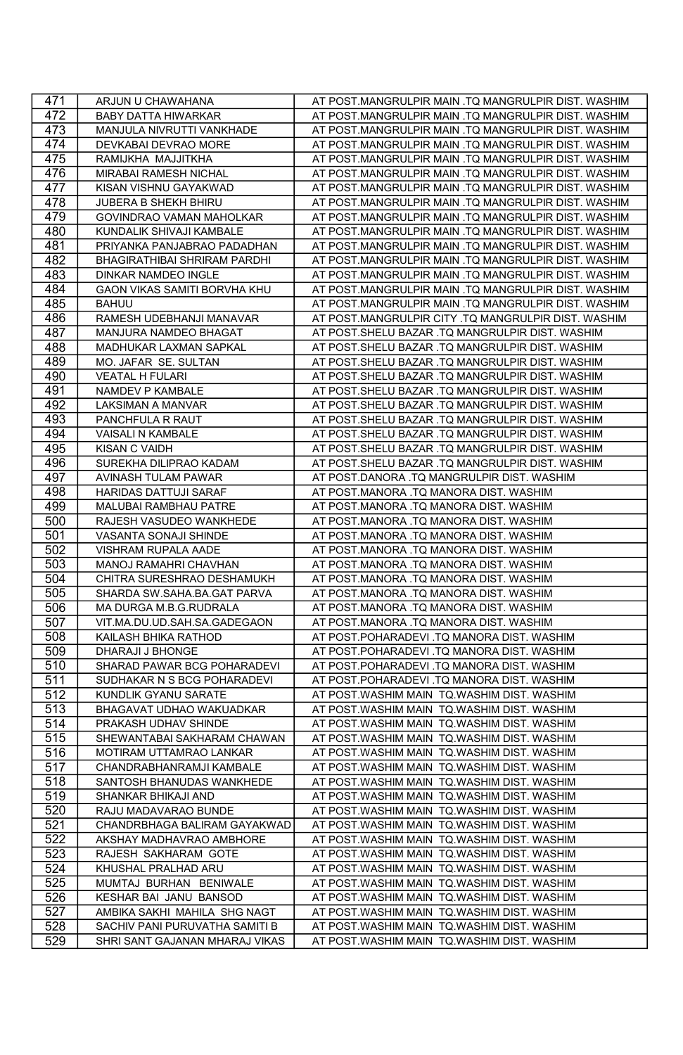| 471              | ARJUN U CHAWAHANA              | AT POST.MANGRULPIR MAIN .TQ MANGRULPIR DIST. WASHIM |
|------------------|--------------------------------|-----------------------------------------------------|
| 472              | <b>BABY DATTA HIWARKAR</b>     | AT POST.MANGRULPIR MAIN .TQ MANGRULPIR DIST. WASHIM |
| 473              | MANJULA NIVRUTTI VANKHADE      | AT POST.MANGRULPIR MAIN .TQ MANGRULPIR DIST. WASHIM |
| 474              | DEVKABAI DEVRAO MORE           | AT POST.MANGRULPIR MAIN .TQ MANGRULPIR DIST. WASHIM |
| 475              | RAMIJKHA MAJJITKHA             | AT POST.MANGRULPIR MAIN .TQ MANGRULPIR DIST. WASHIM |
| 476              | MIRABAI RAMESH NICHAL          | AT POST.MANGRULPIR MAIN .TQ MANGRULPIR DIST. WASHIM |
| 477              | KISAN VISHNU GAYAKWAD          | AT POST.MANGRULPIR MAIN .TQ MANGRULPIR DIST. WASHIM |
| 478              | JUBERA B SHEKH BHIRU           | AT POST.MANGRULPIR MAIN .TQ MANGRULPIR DIST. WASHIM |
| 479              | GOVINDRAO VAMAN MAHOLKAR       | AT POST.MANGRULPIR MAIN .TQ MANGRULPIR DIST. WASHIM |
| 480              | KUNDALIK SHIVAJI KAMBALE       | AT POST.MANGRULPIR MAIN .TQ MANGRULPIR DIST. WASHIM |
| 481              | PRIYANKA PANJABRAO PADADHAN    | AT POST.MANGRULPIR MAIN .TQ MANGRULPIR DIST. WASHIM |
| 482              | BHAGIRATHIBAI SHRIRAM PARDHI   | AT POST.MANGRULPIR MAIN .TQ MANGRULPIR DIST. WASHIM |
| 483              | <b>DINKAR NAMDEO INGLE</b>     | AT POST.MANGRULPIR MAIN .TQ MANGRULPIR DIST. WASHIM |
| 484              | GAON VIKAS SAMITI BORVHA KHU   | AT POST.MANGRULPIR MAIN .TQ MANGRULPIR DIST. WASHIM |
| 485              | <b>BAHUU</b>                   | AT POST.MANGRULPIR MAIN .TQ MANGRULPIR DIST. WASHIM |
| 486              | RAMESH UDEBHANJI MANAVAR       | AT POST.MANGRULPIR CITY .TQ MANGRULPIR DIST. WASHIM |
| 487              | MANJURA NAMDEO BHAGAT          | AT POST.SHELU BAZAR .TQ MANGRULPIR DIST. WASHIM     |
| 488              | MADHUKAR LAXMAN SAPKAL         | AT POST.SHELU BAZAR .TQ MANGRULPIR DIST. WASHIM     |
| 489              | MO. JAFAR SE. SULTAN           | AT POST.SHELU BAZAR .TQ MANGRULPIR DIST. WASHIM     |
| 490              | <b>VEATAL H FULARI</b>         | AT POST.SHELU BAZAR .TQ MANGRULPIR DIST. WASHIM     |
| 491              | NAMDEV P KAMBALE               | AT POST.SHELU BAZAR .TQ MANGRULPIR DIST. WASHIM     |
| 492              | LAKSIMAN A MANVAR              | AT POST.SHELU BAZAR .TQ MANGRULPIR DIST. WASHIM     |
| 493              | PANCHFULA R RAUT               | AT POST.SHELU BAZAR .TQ MANGRULPIR DIST. WASHIM     |
| 494              | VAISALI N KAMBALE              | AT POST.SHELU BAZAR .TQ MANGRULPIR DIST. WASHIM     |
| 495              | <b>KISAN C VAIDH</b>           | AT POST.SHELU BAZAR .TQ MANGRULPIR DIST. WASHIM     |
| 496              | SUREKHA DILIPRAO KADAM         | AT POST.SHELU BAZAR .TQ MANGRULPIR DIST. WASHIM     |
| 497              | AVINASH TULAM PAWAR            | AT POST.DANORA .TQ MANGRULPIR DIST. WASHIM          |
| 498              | HARIDAS DATTUJI SARAF          | AT POST.MANORA .TQ MANORA DIST. WASHIM              |
| 499              | MALUBAI RAMBHAU PATRE          | AT POST.MANORA .TQ MANORA DIST. WASHIM              |
| 500              | RAJESH VASUDEO WANKHEDE        | AT POST.MANORA .TQ MANORA DIST. WASHIM              |
| 501              | VASANTA SONAJI SHINDE          | AT POST.MANORA .TQ MANORA DIST. WASHIM              |
| 502              | VISHRAM RUPALA AADE            | AT POST.MANORA .TQ MANORA DIST. WASHIM              |
| 503              | MANOJ RAMAHRI CHAVHAN          | AT POST.MANORA .TQ MANORA DIST. WASHIM              |
| 504              | CHITRA SURESHRAO DESHAMUKH     | AT POST.MANORA .TQ MANORA DIST. WASHIM              |
| 505              | SHARDA SW.SAHA.BA.GAT PARVA    | AT POST.MANORA .TQ MANORA DIST. WASHIM              |
| 506              | MA DURGA M.B.G.RUDRALA         | AT POST.MANORA .TQ MANORA DIST. WASHIM              |
| 507              | VIT.MA.DU.UD.SAH.SA.GADEGAON   | AT POST.MANORA .TQ MANORA DIST. WASHIM              |
| 508              | KAILASH BHIKA RATHOD           | AT POST.POHARADEVI .TQ MANORA DIST. WASHIM          |
| 509              | DHARAJI J BHONGE               | AT POST.POHARADEVI .TQ MANORA DIST. WASHIM          |
| 510              | SHARAD PAWAR BCG POHARADEVI    | AT POST.POHARADEVI .TQ MANORA DIST. WASHIM          |
| 511              | SUDHAKAR N S BCG POHARADEVI    | AT POST.POHARADEVI .TQ MANORA DIST. WASHIM          |
| $51\overline{2}$ | KUNDLIK GYANU SARATE           | AT POST.WASHIM MAIN TQ.WASHIM DIST. WASHIM          |
| 513              | BHAGAVAT UDHAO WAKUADKAR       | AT POST.WASHIM MAIN TQ.WASHIM DIST. WASHIM          |
| 514              | PRAKASH UDHAV SHINDE           | AT POST.WASHIM MAIN TQ.WASHIM DIST. WASHIM          |
| 515              | SHEWANTABAI SAKHARAM CHAWAN    | AT POST.WASHIM MAIN TQ.WASHIM DIST. WASHIM          |
| 516              | MOTIRAM UTTAMRAO LANKAR        | AT POST.WASHIM MAIN TQ.WASHIM DIST. WASHIM          |
| 517              | CHANDRABHANRAMJI KAMBALE       | AT POST.WASHIM MAIN TQ.WASHIM DIST. WASHIM          |
| 518              | SANTOSH BHANUDAS WANKHEDE      | AT POST.WASHIM MAIN TQ.WASHIM DIST. WASHIM          |
| 519              | SHANKAR BHIKAJI AND            | AT POST.WASHIM MAIN TQ.WASHIM DIST. WASHIM          |
| 520              | RAJU MADAVARAO BUNDE           | AT POST.WASHIM MAIN TQ.WASHIM DIST. WASHIM          |
| 521              | CHANDRBHAGA BALIRAM GAYAKWAD   | AT POST.WASHIM MAIN TQ.WASHIM DIST. WASHIM          |
| 522              | AKSHAY MADHAVRAO AMBHORE       | AT POST.WASHIM MAIN TQ.WASHIM DIST. WASHIM          |
| 523              | RAJESH SAKHARAM GOTE           | AT POST.WASHIM MAIN TQ.WASHIM DIST. WASHIM          |
| 524              | KHUSHAL PRALHAD ARU            | AT POST.WASHIM MAIN TQ.WASHIM DIST. WASHIM          |
| 525              | MUMTAJ BURHAN BENIWALE         | AT POST.WASHIM MAIN TQ.WASHIM DIST. WASHIM          |
| 526              | KESHAR BAI JANU BANSOD         | AT POST.WASHIM MAIN TQ.WASHIM DIST. WASHIM          |
| 527              | AMBIKA SAKHI MAHILA SHG NAGT   | AT POST.WASHIM MAIN TQ.WASHIM DIST. WASHIM          |
| 528              | SACHIV PANI PURUVATHA SAMITI B | AT POST.WASHIM MAIN TQ.WASHIM DIST. WASHIM          |
| 529              | SHRI SANT GAJANAN MHARAJ VIKAS | AT POST.WASHIM MAIN TQ.WASHIM DIST. WASHIM          |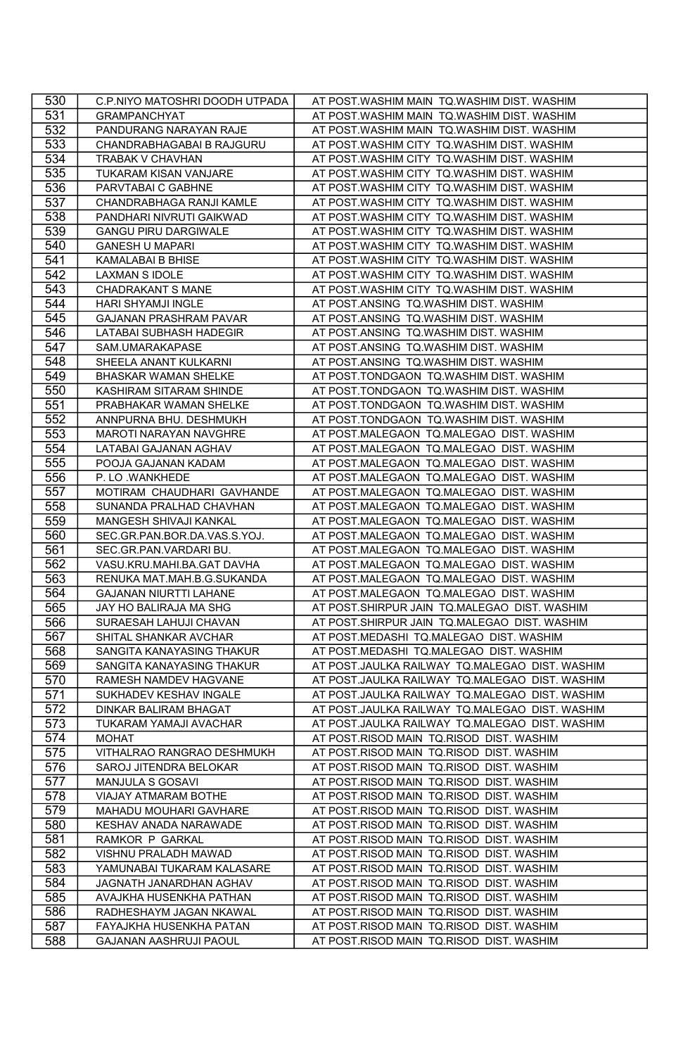| 530 | C.P.NIYO MATOSHRI DOODH UTPADA | AT POST.WASHIM MAIN TQ.WASHIM DIST. WASHIM     |
|-----|--------------------------------|------------------------------------------------|
| 531 | <b>GRAMPANCHYAT</b>            | AT POST.WASHIM MAIN TQ.WASHIM DIST. WASHIM     |
| 532 | PANDURANG NARAYAN RAJE         | AT POST.WASHIM MAIN TQ.WASHIM DIST. WASHIM     |
| 533 | CHANDRABHAGABAI B RAJGURU      | AT POST.WASHIM CITY TQ.WASHIM DIST. WASHIM     |
| 534 | TRABAK V CHAVHAN               | AT POST.WASHIM CITY TQ.WASHIM DIST. WASHIM     |
| 535 | TUKARAM KISAN VANJARE          | AT POST.WASHIM CITY TQ.WASHIM DIST. WASHIM     |
| 536 | PARVTABAI C GABHNE             | AT POST.WASHIM CITY TQ.WASHIM DIST. WASHIM     |
| 537 | CHANDRABHAGA RANJI KAMLE       | AT POST.WASHIM CITY TQ.WASHIM DIST. WASHIM     |
| 538 | PANDHARI NIVRUTI GAIKWAD       | AT POST.WASHIM CITY TQ.WASHIM DIST. WASHIM     |
| 539 | <b>GANGU PIRU DARGIWALE</b>    | AT POST.WASHIM CITY TQ.WASHIM DIST. WASHIM     |
| 540 | <b>GANESH U MAPARI</b>         | AT POST.WASHIM CITY TQ.WASHIM DIST. WASHIM     |
|     |                                |                                                |
| 541 | KAMALABAI B BHISE              | AT POST.WASHIM CITY TQ.WASHIM DIST. WASHIM     |
| 542 | LAXMAN S IDOLE                 | AT POST.WASHIM CITY TQ.WASHIM DIST. WASHIM     |
| 543 | <b>CHADRAKANT S MANE</b>       | AT POST.WASHIM CITY TQ.WASHIM DIST. WASHIM     |
| 544 | HARI SHYAMJI INGLE             | AT POST.ANSING TQ.WASHIM DIST. WASHIM          |
| 545 | GAJANAN PRASHRAM PAVAR         | AT POST.ANSING TQ.WASHIM DIST. WASHIM          |
| 546 | LATABAI SUBHASH HADEGIR        | AT POST.ANSING TQ.WASHIM DIST. WASHIM          |
| 547 | SAM.UMARAKAPASE                | AT POST.ANSING TQ.WASHIM DIST. WASHIM          |
| 548 | SHEELA ANANT KULKARNI          | AT POST.ANSING TQ.WASHIM DIST. WASHIM          |
| 549 | BHASKAR WAMAN SHELKE           | AT POST.TONDGAON TQ.WASHIM DIST. WASHIM        |
| 550 | KASHIRAM SITARAM SHINDE        | AT POST.TONDGAON TQ.WASHIM DIST. WASHIM        |
| 551 | PRABHAKAR WAMAN SHELKE         | AT POST.TONDGAON TQ.WASHIM DIST. WASHIM        |
| 552 | ANNPURNA BHU. DESHMUKH         | AT POST.TONDGAON TQ.WASHIM DIST. WASHIM        |
| 553 | MAROTI NARAYAN NAVGHRE         | AT POST.MALEGAON TQ.MALEGAO DIST. WASHIM       |
| 554 | LATABAI GAJANAN AGHAV          | AT POST.MALEGAON TQ.MALEGAO DIST. WASHIM       |
| 555 | POOJA GAJANAN KADAM            | AT POST.MALEGAON TQ.MALEGAO DIST. WASHIM       |
| 556 | P. LO. WANKHEDE                | AT POST.MALEGAON TQ.MALEGAO DIST. WASHIM       |
| 557 | MOTIRAM CHAUDHARI GAVHANDE     | AT POST.MALEGAON TQ.MALEGAO DIST. WASHIM       |
| 558 | SUNANDA PRALHAD CHAVHAN        | AT POST.MALEGAON TQ.MALEGAO DIST. WASHIM       |
| 559 | MANGESH SHIVAJI KANKAL         | AT POST.MALEGAON TQ.MALEGAO DIST. WASHIM       |
| 560 | SEC.GR.PAN.BOR.DA.VAS.S.YOJ.   | AT POST.MALEGAON TQ.MALEGAO DIST. WASHIM       |
| 561 | SEC.GR.PAN.VARDARI BU.         | AT POST.MALEGAON TQ.MALEGAO DIST. WASHIM       |
| 562 | VASU.KRU.MAHI.BA.GAT DAVHA     | AT POST.MALEGAON TQ.MALEGAO DIST. WASHIM       |
| 563 | RENUKA MAT.MAH.B.G.SUKANDA     | AT POST.MALEGAON TQ.MALEGAO DIST. WASHIM       |
| 564 | <b>GAJANAN NIURTTI LAHANE</b>  | AT POST.MALEGAON TQ.MALEGAO DIST. WASHIM       |
| 565 | JAY HO BALIRAJA MA SHG         | AT POST.SHIRPUR JAIN TQ.MALEGAO DIST. WASHIM   |
| 566 | SURAESAH LAHUJI CHAVAN         | AT POST.SHIRPUR JAIN TQ.MALEGAO DIST. WASHIM   |
| 567 | SHITAL SHANKAR AVCHAR          | AT POST.MEDASHI TQ.MALEGAO DIST. WASHIM        |
| 568 | SANGITA KANAYASING THAKUR      | AT POST.MEDASHI TQ.MALEGAO DIST. WASHIM        |
| 569 | SANGITA KANAYASING THAKUR      | AT POST.JAULKA RAILWAY TQ.MALEGAO DIST. WASHIM |
| 570 | RAMESH NAMDEV HAGVANE          | AT POST.JAULKA RAILWAY TQ.MALEGAO DIST. WASHIM |
| 571 | SUKHADEV KESHAV INGALE         | AT POST.JAULKA RAILWAY TQ.MALEGAO DIST. WASHIM |
| 572 | <b>DINKAR BALIRAM BHAGAT</b>   | AT POST.JAULKA RAILWAY TQ.MALEGAO DIST. WASHIM |
| 573 | TUKARAM YAMAJI AVACHAR         | AT POST.JAULKA RAILWAY TQ.MALEGAO DIST. WASHIM |
|     | <b>MOHAT</b>                   |                                                |
| 574 |                                | AT POST.RISOD MAIN TQ.RISOD DIST. WASHIM       |
| 575 | VITHALRAO RANGRAO DESHMUKH     | AT POST.RISOD MAIN TQ.RISOD DIST. WASHIM       |
| 576 | SAROJ JITENDRA BELOKAR         | AT POST.RISOD MAIN TQ.RISOD DIST. WASHIM       |
| 577 | MANJULA S GOSAVI               | AT POST.RISOD MAIN TQ.RISOD DIST. WASHIM       |
| 578 | VIAJAY ATMARAM BOTHE           | AT POST.RISOD MAIN TQ.RISOD DIST. WASHIM       |
| 579 | MAHADU MOUHARI GAVHARE         | AT POST.RISOD MAIN TQ.RISOD DIST. WASHIM       |
| 580 | KESHAV ANADA NARAWADE          | AT POST.RISOD MAIN TQ.RISOD DIST. WASHIM       |
| 581 | RAMKOR P GARKAL                | AT POST.RISOD MAIN TQ.RISOD DIST. WASHIM       |
| 582 | VISHNU PRALADH MAWAD           | AT POST.RISOD MAIN TQ.RISOD DIST. WASHIM       |
| 583 | YAMUNABAI TUKARAM KALASARE     | AT POST.RISOD MAIN TQ.RISOD DIST. WASHIM       |
| 584 | JAGNATH JANARDHAN AGHAV        | AT POST.RISOD MAIN TQ.RISOD DIST. WASHIM       |
| 585 | AVAJKHA HUSENKHA PATHAN        | AT POST.RISOD MAIN TQ.RISOD DIST. WASHIM       |
| 586 | RADHESHAYM JAGAN NKAWAL        | AT POST.RISOD MAIN TQ.RISOD DIST. WASHIM       |
| 587 | FAYAJKHA HUSENKHA PATAN        | AT POST.RISOD MAIN TQ.RISOD DIST. WASHIM       |
| 588 | GAJANAN AASHRUJI PAOUL         | AT POST.RISOD MAIN TQ.RISOD DIST. WASHIM       |